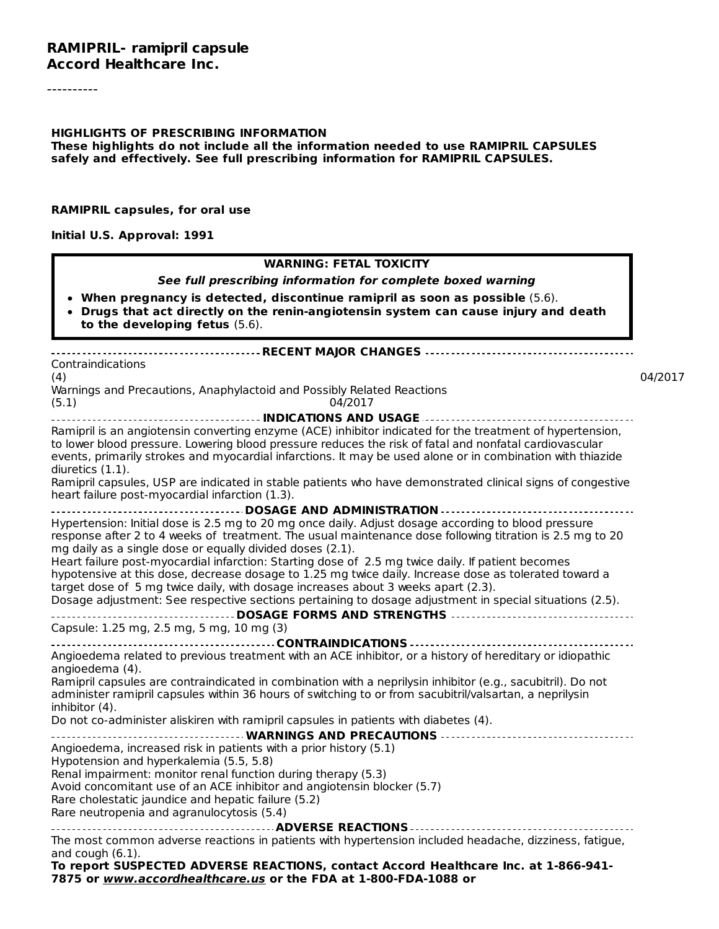----------

#### **HIGHLIGHTS OF PRESCRIBING INFORMATION**

**These highlights do not include all the information needed to use RAMIPRIL CAPSULES safely and effectively. See full prescribing information for RAMIPRIL CAPSULES.**

#### **RAMIPRIL capsules, for oral use**

**Initial U.S. Approval: 1991**

#### **WARNING: FETAL TOXICITY**

**See full prescribing information for complete boxed warning**

- **When pregnancy is detected, discontinue ramipril as soon as possible** (5.6).
- **Drugs that act directly on the renin-angiotensin system can cause injury and death to the developing fetus** (5.6).

#### **RECENT MAJOR CHANGES** Contraindications (4) 04/2017 Warnings and Precautions, Anaphylactoid and Possibly Related Reactions (5.1) 04/2017 **INDICATIONS AND USAGE** Ramipril is an angiotensin converting enzyme (ACE) inhibitor indicated for the treatment of hypertension, to lower blood pressure. Lowering blood pressure reduces the risk of fatal and nonfatal cardiovascular events, primarily strokes and myocardial infarctions. It may be used alone or in combination with thiazide diuretics (1.1). Ramipril capsules, USP are indicated in stable patients who have demonstrated clinical signs of congestive heart failure post-myocardial infarction (1.3). **DOSAGE AND ADMINISTRATION** Hypertension: Initial dose is 2.5 mg to 20 mg once daily. Adjust dosage according to blood pressure response after 2 to 4 weeks of treatment. The usual maintenance dose following titration is 2.5 mg to 20 mg daily as a single dose or equally divided doses (2.1). Heart failure post-myocardial infarction: Starting dose of 2.5 mg twice daily. If patient becomes hypotensive at this dose, decrease dosage to 1.25 mg twice daily. Increase dose as tolerated toward a target dose of 5 mg twice daily, with dosage increases about 3 weeks apart (2.3). Dosage adjustment: See respective sections pertaining to dosage adjustment in special situations (2.5). **DOSAGE FORMS AND STRENGTHS** Capsule: 1.25 mg, 2.5 mg, 5 mg, 10 mg (3) **CONTRAINDICATIONS** Angioedema related to previous treatment with an ACE inhibitor, or a history of hereditary or idiopathic angioedema (4). Ramipril capsules are contraindicated in combination with a neprilysin inhibitor (e.g., sacubitril). Do not administer ramipril capsules within 36 hours of switching to or from sacubitril/valsartan, a neprilysin inhibitor (4). Do not co-administer aliskiren with ramipril capsules in patients with diabetes (4). **WARNINGS AND PRECAUTIONS** Angioedema, increased risk in patients with a prior history (5.1) Hypotension and hyperkalemia (5.5, 5.8) Renal impairment: monitor renal function during therapy (5.3) Avoid concomitant use of an ACE inhibitor and angiotensin blocker (5.7) Rare cholestatic jaundice and hepatic failure (5.2) Rare neutropenia and agranulocytosis (5.4) **ADVERSE REACTIONS** The most common adverse reactions in patients with hypertension included headache, dizziness, fatigue, and cough (6.1). **To report SUSPECTED ADVERSE REACTIONS, contact Accord Healthcare Inc. at 1-866-941- 7875 or www.accordhealthcare.us or the FDA at 1-800-FDA-1088 or**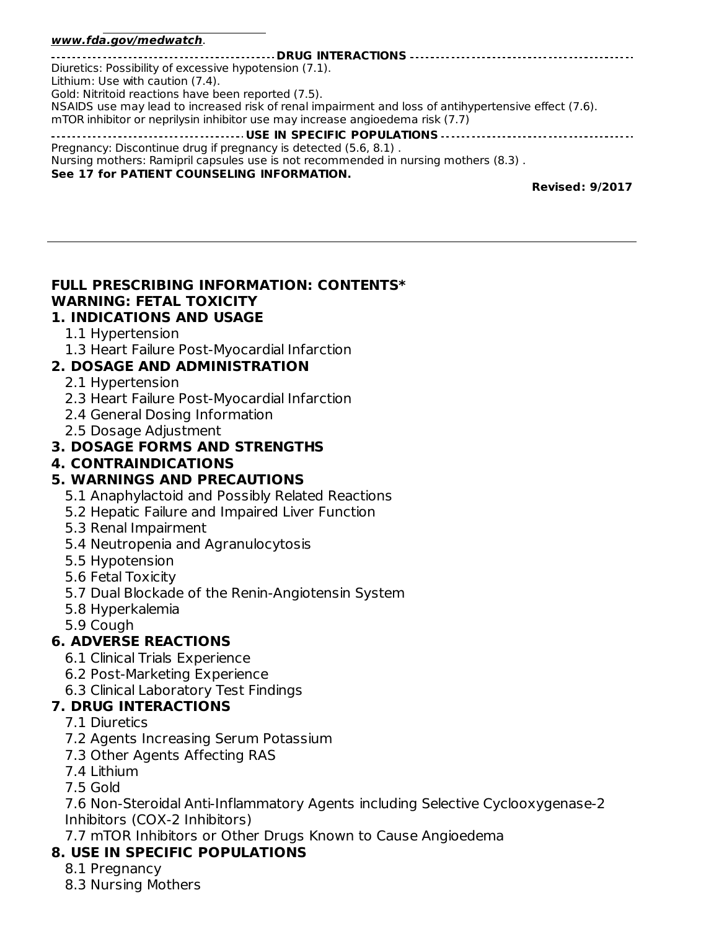#### **7875 or www.accordhealthcare.us or the FDA at 1-800-FDA-1088 or www.fda.gov/medwatch**.

| Diuretics: Possibility of excessive hypotension (7.1).                                               |
|------------------------------------------------------------------------------------------------------|
| Lithium: Use with caution (7.4).                                                                     |
| Gold: Nitritoid reactions have been reported (7.5).                                                  |
| NSAIDS use may lead to increased risk of renal impairment and loss of antihypertensive effect (7.6). |
| mTOR inhibitor or neprilysin inhibitor use may increase angioedema risk (7.7)                        |
|                                                                                                      |
| Pregnancy: Discontinue drug if pregnancy is detected (5.6, 8.1).                                     |
| Nursing mothers: Ramipril capsules use is not recommended in nursing mothers (8.3).                  |
| See 17 for PATIENT COUNSELING INFORMATION.                                                           |

**Revised: 9/2017**

#### **FULL PRESCRIBING INFORMATION: CONTENTS\* WARNING: FETAL TOXICITY 1. INDICATIONS AND USAGE**

#### 1.1 Hypertension

1.3 Heart Failure Post-Myocardial Infarction

### **2. DOSAGE AND ADMINISTRATION**

- 2.1 Hypertension
- 2.3 Heart Failure Post-Myocardial Infarction
- 2.4 General Dosing Information
- 2.5 Dosage Adjustment

### **3. DOSAGE FORMS AND STRENGTHS**

**4. CONTRAINDICATIONS**

### **5. WARNINGS AND PRECAUTIONS**

- 5.1 Anaphylactoid and Possibly Related Reactions
- 5.2 Hepatic Failure and Impaired Liver Function
- 5.3 Renal Impairment
- 5.4 Neutropenia and Agranulocytosis
- 5.5 Hypotension
- 5.6 Fetal Toxicity
- 5.7 Dual Blockade of the Renin-Angiotensin System
- 5.8 Hyperkalemia
- 5.9 Cough

### **6. ADVERSE REACTIONS**

- 6.1 Clinical Trials Experience
- 6.2 Post-Marketing Experience
- 6.3 Clinical Laboratory Test Findings

### **7. DRUG INTERACTIONS**

- 7.1 Diuretics
- 7.2 Agents Increasing Serum Potassium
- 7.3 Other Agents Affecting RAS
- 7.4 Lithium
- 7.5 Gold

7.6 Non-Steroidal Anti-Inflammatory Agents including Selective Cyclooxygenase-2 Inhibitors (COX-2 Inhibitors)

7.7 mTOR Inhibitors or Other Drugs Known to Cause Angioedema

## **8. USE IN SPECIFIC POPULATIONS**

- 8.1 Pregnancy
- 8.3 Nursing Mothers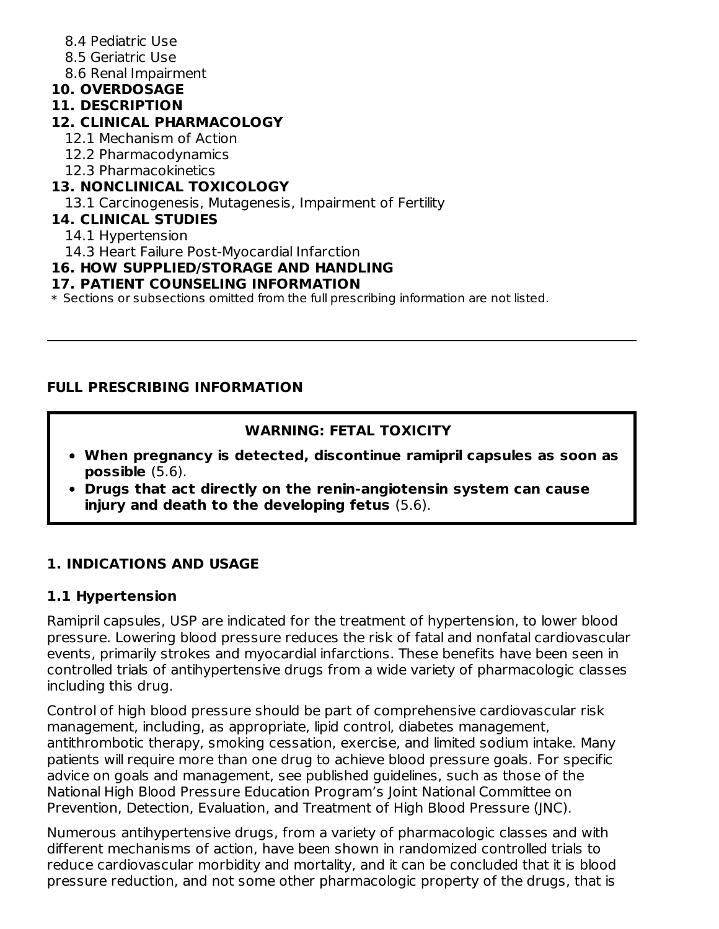- 8.4 Pediatric Use
- 8.5 Geriatric Use
- 8.6 Renal Impairment

## **10. OVERDOSAGE**

## **11. DESCRIPTION**

## **12. CLINICAL PHARMACOLOGY**

- 12.1 Mechanism of Action
- 12.2 Pharmacodynamics
- 12.3 Pharmacokinetics

## **13. NONCLINICAL TOXICOLOGY**

13.1 Carcinogenesis, Mutagenesis, Impairment of Fertility

## **14. CLINICAL STUDIES**

- 14.1 Hypertension
- 14.3 Heart Failure Post-Myocardial Infarction

## **16. HOW SUPPLIED/STORAGE AND HANDLING**

## **17. PATIENT COUNSELING INFORMATION**

 $\ast$  Sections or subsections omitted from the full prescribing information are not listed.

## **FULL PRESCRIBING INFORMATION**

## **WARNING: FETAL TOXICITY**

- **When pregnancy is detected, discontinue ramipril capsules as soon as possible** (5.6).
- **Drugs that act directly on the renin-angiotensin system can cause injury and death to the developing fetus** (5.6).

## **1. INDICATIONS AND USAGE**

## **1.1 Hypertension**

Ramipril capsules, USP are indicated for the treatment of hypertension, to lower blood pressure. Lowering blood pressure reduces the risk of fatal and nonfatal cardiovascular events, primarily strokes and myocardial infarctions. These benefits have been seen in controlled trials of antihypertensive drugs from a wide variety of pharmacologic classes including this drug.

Control of high blood pressure should be part of comprehensive cardiovascular risk management, including, as appropriate, lipid control, diabetes management, antithrombotic therapy, smoking cessation, exercise, and limited sodium intake. Many patients will require more than one drug to achieve blood pressure goals. For specific advice on goals and management, see published guidelines, such as those of the National High Blood Pressure Education Program's Joint National Committee on Prevention, Detection, Evaluation, and Treatment of High Blood Pressure (JNC).

Numerous antihypertensive drugs, from a variety of pharmacologic classes and with different mechanisms of action, have been shown in randomized controlled trials to reduce cardiovascular morbidity and mortality, and it can be concluded that it is blood pressure reduction, and not some other pharmacologic property of the drugs, that is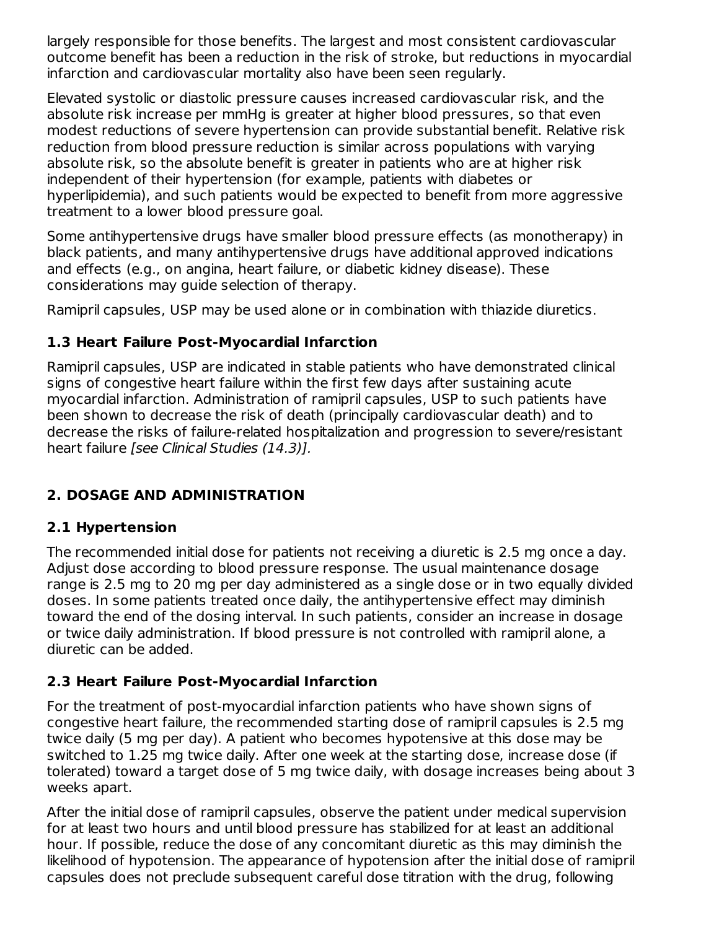largely responsible for those benefits. The largest and most consistent cardiovascular outcome benefit has been a reduction in the risk of stroke, but reductions in myocardial infarction and cardiovascular mortality also have been seen regularly.

Elevated systolic or diastolic pressure causes increased cardiovascular risk, and the absolute risk increase per mmHg is greater at higher blood pressures, so that even modest reductions of severe hypertension can provide substantial benefit. Relative risk reduction from blood pressure reduction is similar across populations with varying absolute risk, so the absolute benefit is greater in patients who are at higher risk independent of their hypertension (for example, patients with diabetes or hyperlipidemia), and such patients would be expected to benefit from more aggressive treatment to a lower blood pressure goal.

Some antihypertensive drugs have smaller blood pressure effects (as monotherapy) in black patients, and many antihypertensive drugs have additional approved indications and effects (e.g., on angina, heart failure, or diabetic kidney disease). These considerations may guide selection of therapy.

Ramipril capsules, USP may be used alone or in combination with thiazide diuretics.

## **1.3 Heart Failure Post-Myocardial Infarction**

Ramipril capsules, USP are indicated in stable patients who have demonstrated clinical signs of congestive heart failure within the first few days after sustaining acute myocardial infarction. Administration of ramipril capsules, USP to such patients have been shown to decrease the risk of death (principally cardiovascular death) and to decrease the risks of failure-related hospitalization and progression to severe/resistant heart failure *[see Clinical Studies (14.3)]*.

## **2. DOSAGE AND ADMINISTRATION**

## **2.1 Hypertension**

The recommended initial dose for patients not receiving a diuretic is 2.5 mg once a day. Adjust dose according to blood pressure response. The usual maintenance dosage range is 2.5 mg to 20 mg per day administered as a single dose or in two equally divided doses. In some patients treated once daily, the antihypertensive effect may diminish toward the end of the dosing interval. In such patients, consider an increase in dosage or twice daily administration. If blood pressure is not controlled with ramipril alone, a diuretic can be added.

## **2.3 Heart Failure Post-Myocardial Infarction**

For the treatment of post-myocardial infarction patients who have shown signs of congestive heart failure, the recommended starting dose of ramipril capsules is 2.5 mg twice daily (5 mg per day). A patient who becomes hypotensive at this dose may be switched to 1.25 mg twice daily. After one week at the starting dose, increase dose (if tolerated) toward a target dose of 5 mg twice daily, with dosage increases being about 3 weeks apart.

After the initial dose of ramipril capsules, observe the patient under medical supervision for at least two hours and until blood pressure has stabilized for at least an additional hour. If possible, reduce the dose of any concomitant diuretic as this may diminish the likelihood of hypotension. The appearance of hypotension after the initial dose of ramipril capsules does not preclude subsequent careful dose titration with the drug, following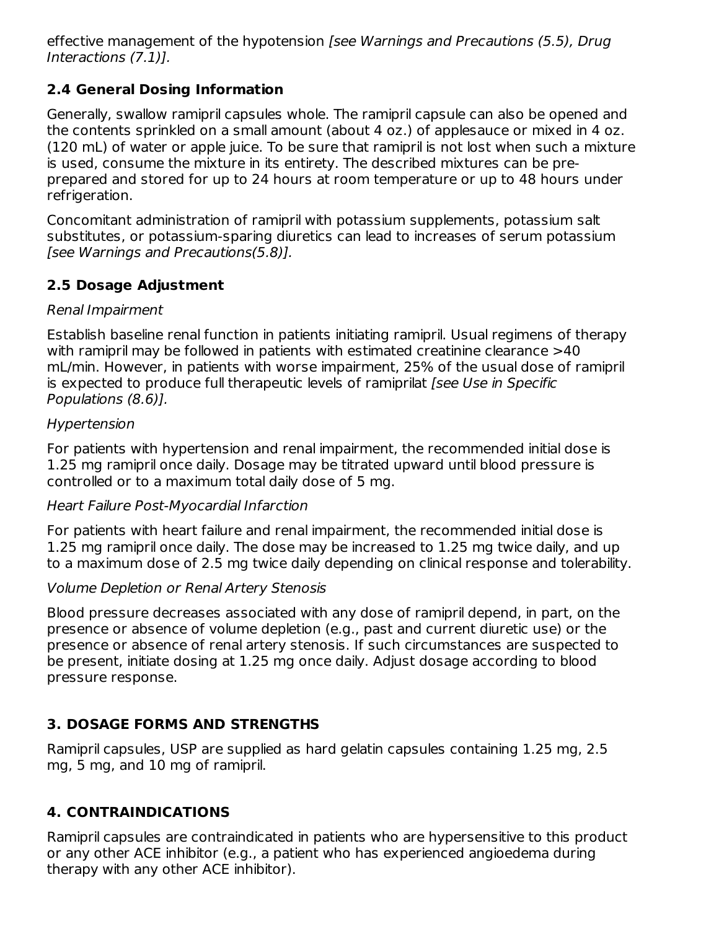effective management of the hypotension [see Warnings and Precautions (5.5), Drug Interactions (7.1)].

## **2.4 General Dosing Information**

Generally, swallow ramipril capsules whole. The ramipril capsule can also be opened and the contents sprinkled on a small amount (about 4 oz.) of applesauce or mixed in 4 oz. (120 mL) of water or apple juice. To be sure that ramipril is not lost when such a mixture is used, consume the mixture in its entirety. The described mixtures can be preprepared and stored for up to 24 hours at room temperature or up to 48 hours under refrigeration.

Concomitant administration of ramipril with potassium supplements, potassium salt substitutes, or potassium-sparing diuretics can lead to increases of serum potassium [see Warnings and Precautions(5.8)].

## **2.5 Dosage Adjustment**

### Renal Impairment

Establish baseline renal function in patients initiating ramipril. Usual regimens of therapy with ramipril may be followed in patients with estimated creatinine clearance  $>40$ mL/min. However, in patients with worse impairment, 25% of the usual dose of ramipril is expected to produce full therapeutic levels of ramiprilat [see Use in Specific Populations (8.6)].

### Hypertension

For patients with hypertension and renal impairment, the recommended initial dose is 1.25 mg ramipril once daily. Dosage may be titrated upward until blood pressure is controlled or to a maximum total daily dose of 5 mg.

### Heart Failure Post-Myocardial Infarction

For patients with heart failure and renal impairment, the recommended initial dose is 1.25 mg ramipril once daily. The dose may be increased to 1.25 mg twice daily, and up to a maximum dose of 2.5 mg twice daily depending on clinical response and tolerability.

### Volume Depletion or Renal Artery Stenosis

Blood pressure decreases associated with any dose of ramipril depend, in part, on the presence or absence of volume depletion (e.g., past and current diuretic use) or the presence or absence of renal artery stenosis. If such circumstances are suspected to be present, initiate dosing at 1.25 mg once daily. Adjust dosage according to blood pressure response.

## **3. DOSAGE FORMS AND STRENGTHS**

Ramipril capsules, USP are supplied as hard gelatin capsules containing 1.25 mg, 2.5 mg, 5 mg, and 10 mg of ramipril.

## **4. CONTRAINDICATIONS**

Ramipril capsules are contraindicated in patients who are hypersensitive to this product or any other ACE inhibitor (e.g., a patient who has experienced angioedema during therapy with any other ACE inhibitor).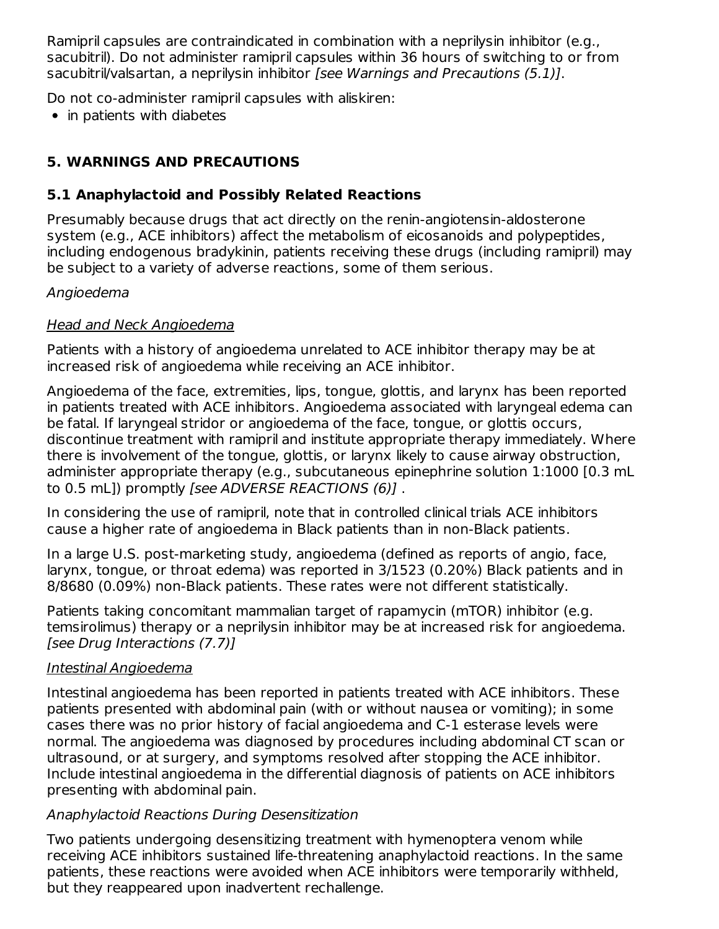Ramipril capsules are contraindicated in combination with a neprilysin inhibitor (e.g., sacubitril). Do not administer ramipril capsules within 36 hours of switching to or from sacubitril/valsartan, a neprilysin inhibitor [see Warnings and Precautions (5.1)].

Do not co-administer ramipril capsules with aliskiren:

• in patients with diabetes

# **5. WARNINGS AND PRECAUTIONS**

## **5.1 Anaphylactoid and Possibly Related Reactions**

Presumably because drugs that act directly on the renin-angiotensin-aldosterone system (e.g., ACE inhibitors) affect the metabolism of eicosanoids and polypeptides, including endogenous bradykinin, patients receiving these drugs (including ramipril) may be subject to a variety of adverse reactions, some of them serious.

## Angioedema

## Head and Neck Angioedema

Patients with a history of angioedema unrelated to ACE inhibitor therapy may be at increased risk of angioedema while receiving an ACE inhibitor.

Angioedema of the face, extremities, lips, tongue, glottis, and larynx has been reported in patients treated with ACE inhibitors. Angioedema associated with laryngeal edema can be fatal. If laryngeal stridor or angioedema of the face, tongue, or glottis occurs, discontinue treatment with ramipril and institute appropriate therapy immediately. Where there is involvement of the tongue, glottis, or larynx likely to cause airway obstruction, administer appropriate therapy (e.g., subcutaneous epinephrine solution 1:1000 [0.3 mL to 0.5 mL]) promptly [see ADVERSE REACTIONS (6)].

In considering the use of ramipril, note that in controlled clinical trials ACE inhibitors cause a higher rate of angioedema in Black patients than in non-Black patients.

In a large U.S. post-marketing study, angioedema (defined as reports of angio, face, larynx, tongue, or throat edema) was reported in 3/1523 (0.20%) Black patients and in 8/8680 (0.09%) non-Black patients. These rates were not different statistically.

Patients taking concomitant mammalian target of rapamycin (mTOR) inhibitor (e.g. temsirolimus) therapy or a neprilysin inhibitor may be at increased risk for angioedema. [see Drug Interactions (7.7)]

## Intestinal Angioedema

Intestinal angioedema has been reported in patients treated with ACE inhibitors. These patients presented with abdominal pain (with or without nausea or vomiting); in some cases there was no prior history of facial angioedema and C-1 esterase levels were normal. The angioedema was diagnosed by procedures including abdominal CT scan or ultrasound, or at surgery, and symptoms resolved after stopping the ACE inhibitor. Include intestinal angioedema in the differential diagnosis of patients on ACE inhibitors presenting with abdominal pain.

## Anaphylactoid Reactions During Desensitization

Two patients undergoing desensitizing treatment with hymenoptera venom while receiving ACE inhibitors sustained life-threatening anaphylactoid reactions. In the same patients, these reactions were avoided when ACE inhibitors were temporarily withheld, but they reappeared upon inadvertent rechallenge.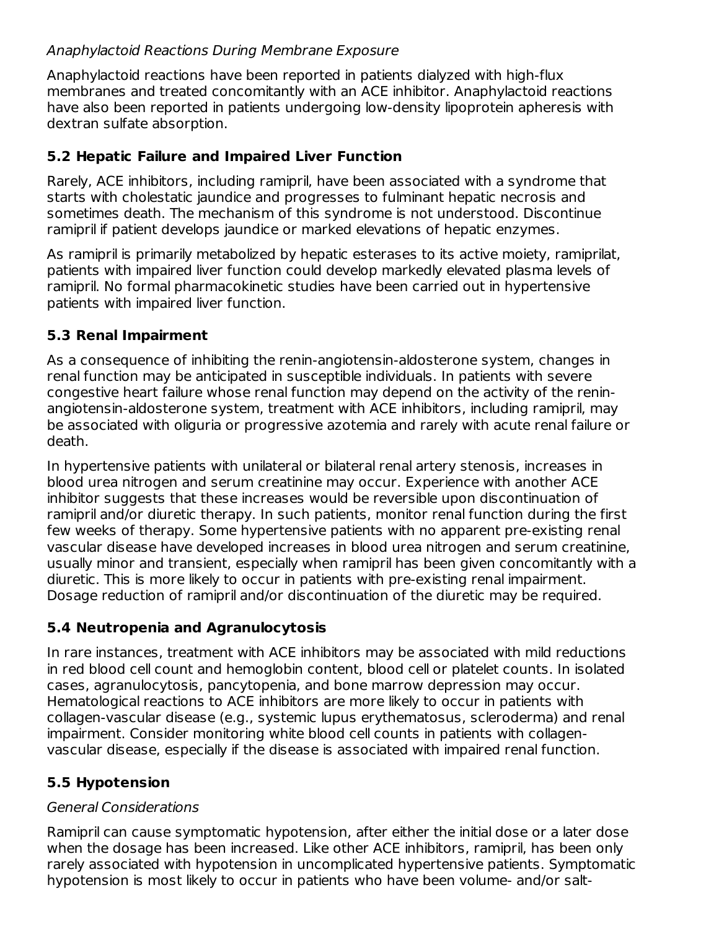## Anaphylactoid Reactions During Membrane Exposure

Anaphylactoid reactions have been reported in patients dialyzed with high-flux membranes and treated concomitantly with an ACE inhibitor. Anaphylactoid reactions have also been reported in patients undergoing low-density lipoprotein apheresis with dextran sulfate absorption.

## **5.2 Hepatic Failure and Impaired Liver Function**

Rarely, ACE inhibitors, including ramipril, have been associated with a syndrome that starts with cholestatic jaundice and progresses to fulminant hepatic necrosis and sometimes death. The mechanism of this syndrome is not understood. Discontinue ramipril if patient develops jaundice or marked elevations of hepatic enzymes.

As ramipril is primarily metabolized by hepatic esterases to its active moiety, ramiprilat, patients with impaired liver function could develop markedly elevated plasma levels of ramipril. No formal pharmacokinetic studies have been carried out in hypertensive patients with impaired liver function.

### **5.3 Renal Impairment**

As a consequence of inhibiting the renin-angiotensin-aldosterone system, changes in renal function may be anticipated in susceptible individuals. In patients with severe congestive heart failure whose renal function may depend on the activity of the reninangiotensin-aldosterone system, treatment with ACE inhibitors, including ramipril, may be associated with oliguria or progressive azotemia and rarely with acute renal failure or death.

In hypertensive patients with unilateral or bilateral renal artery stenosis, increases in blood urea nitrogen and serum creatinine may occur. Experience with another ACE inhibitor suggests that these increases would be reversible upon discontinuation of ramipril and/or diuretic therapy. In such patients, monitor renal function during the first few weeks of therapy. Some hypertensive patients with no apparent pre-existing renal vascular disease have developed increases in blood urea nitrogen and serum creatinine, usually minor and transient, especially when ramipril has been given concomitantly with a diuretic. This is more likely to occur in patients with pre-existing renal impairment. Dosage reduction of ramipril and/or discontinuation of the diuretic may be required.

## **5.4 Neutropenia and Agranulocytosis**

In rare instances, treatment with ACE inhibitors may be associated with mild reductions in red blood cell count and hemoglobin content, blood cell or platelet counts. In isolated cases, agranulocytosis, pancytopenia, and bone marrow depression may occur. Hematological reactions to ACE inhibitors are more likely to occur in patients with collagen-vascular disease (e.g., systemic lupus erythematosus, scleroderma) and renal impairment. Consider monitoring white blood cell counts in patients with collagenvascular disease, especially if the disease is associated with impaired renal function.

## **5.5 Hypotension**

## General Considerations

Ramipril can cause symptomatic hypotension, after either the initial dose or a later dose when the dosage has been increased. Like other ACE inhibitors, ramipril, has been only rarely associated with hypotension in uncomplicated hypertensive patients. Symptomatic hypotension is most likely to occur in patients who have been volume- and/or salt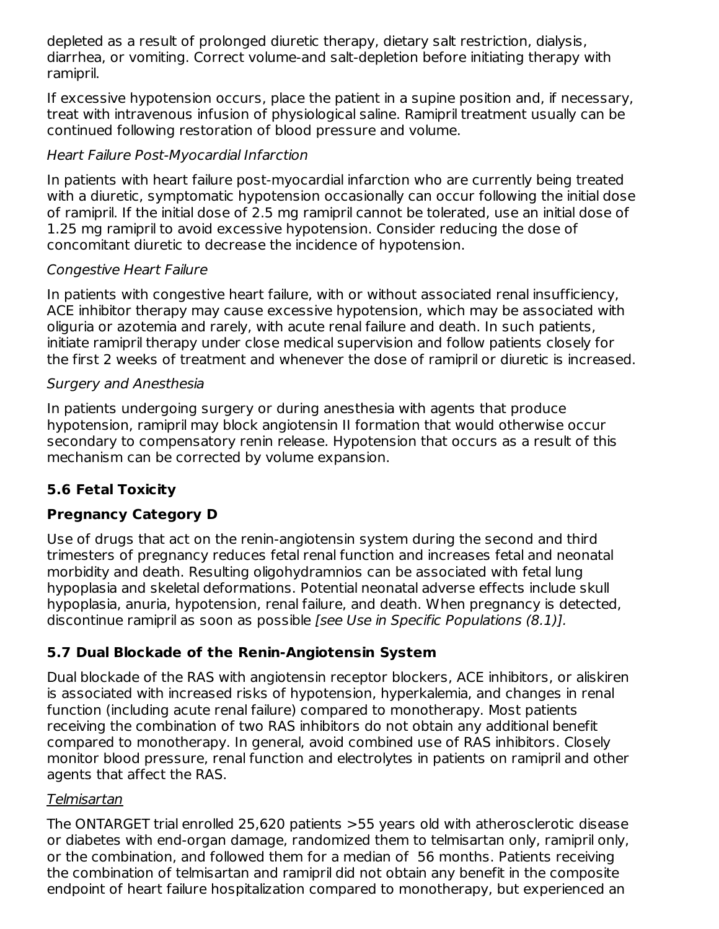depleted as a result of prolonged diuretic therapy, dietary salt restriction, dialysis, diarrhea, or vomiting. Correct volume-and salt-depletion before initiating therapy with ramipril.

If excessive hypotension occurs, place the patient in a supine position and, if necessary, treat with intravenous infusion of physiological saline. Ramipril treatment usually can be continued following restoration of blood pressure and volume.

### Heart Failure Post-Myocardial Infarction

In patients with heart failure post-myocardial infarction who are currently being treated with a diuretic, symptomatic hypotension occasionally can occur following the initial dose of ramipril. If the initial dose of 2.5 mg ramipril cannot be tolerated, use an initial dose of 1.25 mg ramipril to avoid excessive hypotension. Consider reducing the dose of concomitant diuretic to decrease the incidence of hypotension.

### Congestive Heart Failure

In patients with congestive heart failure, with or without associated renal insufficiency, ACE inhibitor therapy may cause excessive hypotension, which may be associated with oliguria or azotemia and rarely, with acute renal failure and death. In such patients, initiate ramipril therapy under close medical supervision and follow patients closely for the first 2 weeks of treatment and whenever the dose of ramipril or diuretic is increased.

### Surgery and Anesthesia

In patients undergoing surgery or during anesthesia with agents that produce hypotension, ramipril may block angiotensin II formation that would otherwise occur secondary to compensatory renin release. Hypotension that occurs as a result of this mechanism can be corrected by volume expansion.

## **5.6 Fetal Toxicity**

## **Pregnancy Category D**

Use of drugs that act on the renin-angiotensin system during the second and third trimesters of pregnancy reduces fetal renal function and increases fetal and neonatal morbidity and death. Resulting oligohydramnios can be associated with fetal lung hypoplasia and skeletal deformations. Potential neonatal adverse effects include skull hypoplasia, anuria, hypotension, renal failure, and death. When pregnancy is detected, discontinue ramipril as soon as possible [see Use in Specific Populations (8.1)].

## **5.7 Dual Blockade of the Renin-Angiotensin System**

Dual blockade of the RAS with angiotensin receptor blockers, ACE inhibitors, or aliskiren is associated with increased risks of hypotension, hyperkalemia, and changes in renal function (including acute renal failure) compared to monotherapy. Most patients receiving the combination of two RAS inhibitors do not obtain any additional benefit compared to monotherapy. In general, avoid combined use of RAS inhibitors. Closely monitor blood pressure, renal function and electrolytes in patients on ramipril and other agents that affect the RAS.

### Telmisartan

The ONTARGET trial enrolled 25,620 patients >55 years old with atherosclerotic disease or diabetes with end-organ damage, randomized them to telmisartan only, ramipril only, or the combination, and followed them for a median of 56 months. Patients receiving the combination of telmisartan and ramipril did not obtain any benefit in the composite endpoint of heart failure hospitalization compared to monotherapy, but experienced an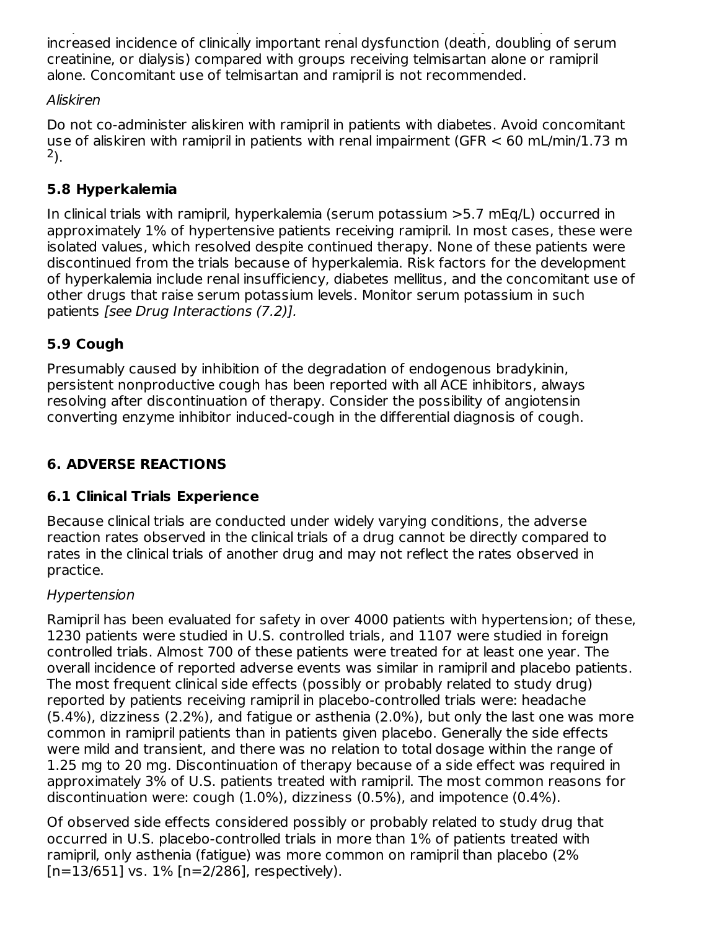endpoint of heart failure hospitalization compared to monotherapy, but experienced an increased incidence of clinically important renal dysfunction (death, doubling of serum creatinine, or dialysis) compared with groups receiving telmisartan alone or ramipril alone. Concomitant use of telmisartan and ramipril is not recommended.

## Aliskiren

Do not co-administer aliskiren with ramipril in patients with diabetes. Avoid concomitant use of aliskiren with ramipril in patients with renal impairment (GFR < 60 mL/min/1.73 m ). 2

## **5.8 Hyperkalemia**

In clinical trials with ramipril, hyperkalemia (serum potassium >5.7 mEq/L) occurred in approximately 1% of hypertensive patients receiving ramipril. In most cases, these were isolated values, which resolved despite continued therapy. None of these patients were discontinued from the trials because of hyperkalemia. Risk factors for the development of hyperkalemia include renal insufficiency, diabetes mellitus, and the concomitant use of other drugs that raise serum potassium levels. Monitor serum potassium in such patients [see Drug Interactions (7.2)].

## **5.9 Cough**

Presumably caused by inhibition of the degradation of endogenous bradykinin, persistent nonproductive cough has been reported with all ACE inhibitors, always resolving after discontinuation of therapy. Consider the possibility of angiotensin converting enzyme inhibitor induced-cough in the differential diagnosis of cough.

## **6. ADVERSE REACTIONS**

## **6.1 Clinical Trials Experience**

Because clinical trials are conducted under widely varying conditions, the adverse reaction rates observed in the clinical trials of a drug cannot be directly compared to rates in the clinical trials of another drug and may not reflect the rates observed in practice.

## Hypertension

Ramipril has been evaluated for safety in over 4000 patients with hypertension; of these, 1230 patients were studied in U.S. controlled trials, and 1107 were studied in foreign controlled trials. Almost 700 of these patients were treated for at least one year. The overall incidence of reported adverse events was similar in ramipril and placebo patients. The most frequent clinical side effects (possibly or probably related to study drug) reported by patients receiving ramipril in placebo-controlled trials were: headache (5.4%), dizziness (2.2%), and fatigue or asthenia (2.0%), but only the last one was more common in ramipril patients than in patients given placebo. Generally the side effects were mild and transient, and there was no relation to total dosage within the range of 1.25 mg to 20 mg. Discontinuation of therapy because of a side effect was required in approximately 3% of U.S. patients treated with ramipril. The most common reasons for discontinuation were: cough (1.0%), dizziness (0.5%), and impotence (0.4%).

Of observed side effects considered possibly or probably related to study drug that occurred in U.S. placebo-controlled trials in more than 1% of patients treated with ramipril, only asthenia (fatigue) was more common on ramipril than placebo (2%  $[n=13/651]$  vs.  $1\%$   $[n=2/286]$ , respectively).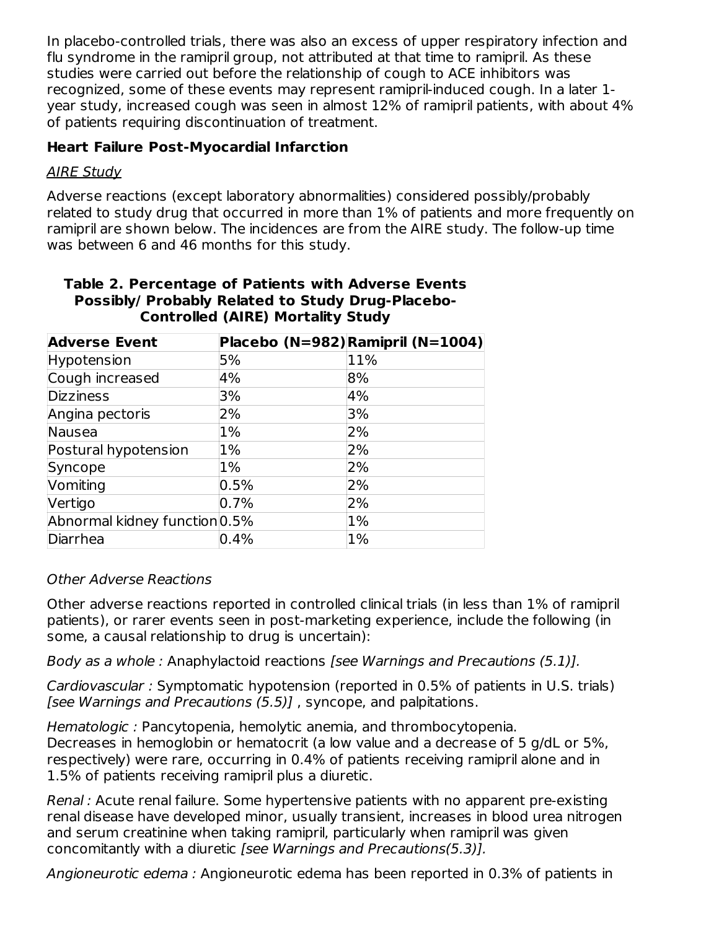In placebo-controlled trials, there was also an excess of upper respiratory infection and flu syndrome in the ramipril group, not attributed at that time to ramipril. As these studies were carried out before the relationship of cough to ACE inhibitors was recognized, some of these events may represent ramipril-induced cough. In a later 1 year study, increased cough was seen in almost 12% of ramipril patients, with about 4% of patients requiring discontinuation of treatment.

### **Heart Failure Post-Myocardial Infarction**

### AIRE Study

Adverse reactions (except laboratory abnormalities) considered possibly/probably related to study drug that occurred in more than 1% of patients and more frequently on ramipril are shown below. The incidences are from the AIRE study. The follow-up time was between 6 and 46 months for this study.

| Table 2. Percentage of Patients with Adverse Events |  |
|-----------------------------------------------------|--|
| Possibly/ Probably Related to Study Drug-Placebo-   |  |
| <b>Controlled (AIRE) Mortality Study</b>            |  |

| <b>Adverse Event</b>          |       | Placebo (N=982)Ramipril (N=1004) |
|-------------------------------|-------|----------------------------------|
| Hypotension                   | 5%    | 11%                              |
| Cough increased               | 4%    | 8%                               |
| <b>Dizziness</b>              | 3%    | 4%                               |
| Angina pectoris               | 2%    | 3%                               |
| Nausea                        | $1\%$ | 2%                               |
| Postural hypotension          | 1%    | 2%                               |
| Syncope                       | 1%    | 2%                               |
| Vomiting                      | 0.5%  | 2%                               |
| Vertigo                       | 0.7%  | 2%                               |
| Abnormal kidney function 0.5% |       | 1%                               |
| Diarrhea                      | 0.4%  | 1%                               |

### Other Adverse Reactions

Other adverse reactions reported in controlled clinical trials (in less than 1% of ramipril patients), or rarer events seen in post-marketing experience, include the following (in some, a causal relationship to drug is uncertain):

Body as a whole : Anaphylactoid reactions [see Warnings and Precautions (5.1)].

Cardiovascular : Symptomatic hypotension (reported in 0.5% of patients in U.S. trials) [see Warnings and Precautions (5.5)] , syncope, and palpitations.

Hematologic : Pancytopenia, hemolytic anemia, and thrombocytopenia. Decreases in hemoglobin or hematocrit (a low value and a decrease of 5 g/dL or 5%, respectively) were rare, occurring in 0.4% of patients receiving ramipril alone and in 1.5% of patients receiving ramipril plus a diuretic.

Renal : Acute renal failure. Some hypertensive patients with no apparent pre-existing renal disease have developed minor, usually transient, increases in blood urea nitrogen and serum creatinine when taking ramipril, particularly when ramipril was given concomitantly with a diuretic [see Warnings and Precautions(5.3)].

Angioneurotic edema : Angioneurotic edema has been reported in 0.3% of patients in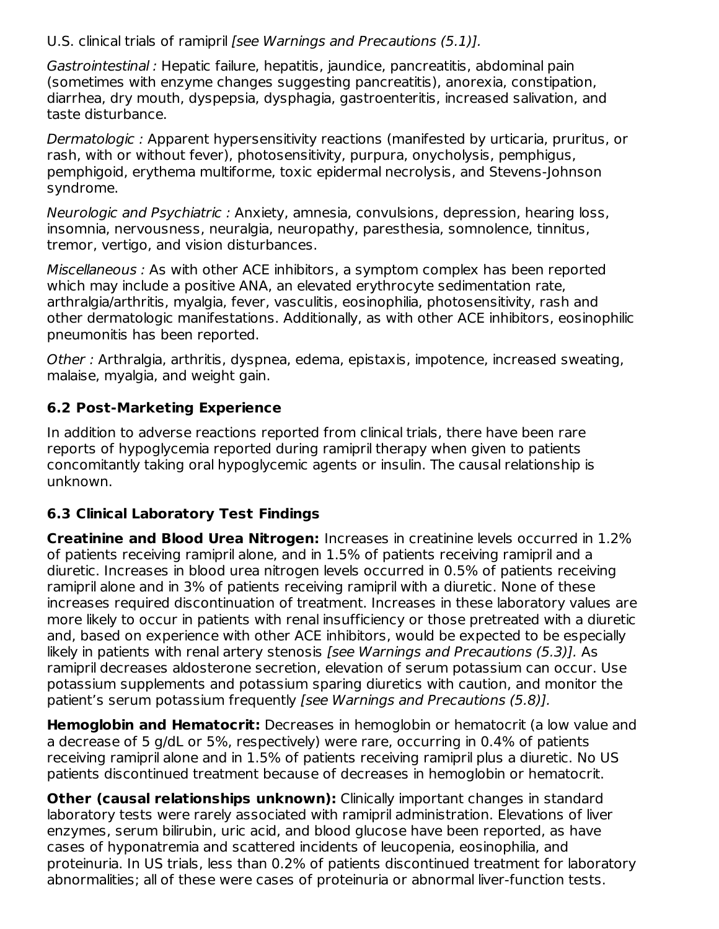### U.S. clinical trials of ramipril [see Warnings and Precautions (5.1)].

Gastrointestinal : Hepatic failure, hepatitis, jaundice, pancreatitis, abdominal pain (sometimes with enzyme changes suggesting pancreatitis), anorexia, constipation, diarrhea, dry mouth, dyspepsia, dysphagia, gastroenteritis, increased salivation, and taste disturbance.

Dermatologic : Apparent hypersensitivity reactions (manifested by urticaria, pruritus, or rash, with or without fever), photosensitivity, purpura, onycholysis, pemphigus, pemphigoid, erythema multiforme, toxic epidermal necrolysis, and Stevens-Johnson syndrome.

Neurologic and Psychiatric : Anxiety, amnesia, convulsions, depression, hearing loss, insomnia, nervousness, neuralgia, neuropathy, paresthesia, somnolence, tinnitus, tremor, vertigo, and vision disturbances.

Miscellaneous : As with other ACE inhibitors, a symptom complex has been reported which may include a positive ANA, an elevated erythrocyte sedimentation rate, arthralgia/arthritis, myalgia, fever, vasculitis, eosinophilia, photosensitivity, rash and other dermatologic manifestations. Additionally, as with other ACE inhibitors, eosinophilic pneumonitis has been reported.

Other : Arthralgia, arthritis, dyspnea, edema, epistaxis, impotence, increased sweating, malaise, myalgia, and weight gain.

## **6.2 Post-Marketing Experience**

In addition to adverse reactions reported from clinical trials, there have been rare reports of hypoglycemia reported during ramipril therapy when given to patients concomitantly taking oral hypoglycemic agents or insulin. The causal relationship is unknown.

## **6.3 Clinical Laboratory Test Findings**

**Creatinine and Blood Urea Nitrogen:** Increases in creatinine levels occurred in 1.2% of patients receiving ramipril alone, and in 1.5% of patients receiving ramipril and a diuretic. Increases in blood urea nitrogen levels occurred in 0.5% of patients receiving ramipril alone and in 3% of patients receiving ramipril with a diuretic. None of these increases required discontinuation of treatment. Increases in these laboratory values are more likely to occur in patients with renal insufficiency or those pretreated with a diuretic and, based on experience with other ACE inhibitors, would be expected to be especially likely in patients with renal artery stenosis [see Warnings and Precautions (5.3)]. As ramipril decreases aldosterone secretion, elevation of serum potassium can occur. Use potassium supplements and potassium sparing diuretics with caution, and monitor the patient's serum potassium frequently [see Warnings and Precautions (5.8)].

**Hemoglobin and Hematocrit:** Decreases in hemoglobin or hematocrit (a low value and a decrease of 5 g/dL or 5%, respectively) were rare, occurring in 0.4% of patients receiving ramipril alone and in 1.5% of patients receiving ramipril plus a diuretic. No US patients discontinued treatment because of decreases in hemoglobin or hematocrit.

**Other (causal relationships unknown):** Clinically important changes in standard laboratory tests were rarely associated with ramipril administration. Elevations of liver enzymes, serum bilirubin, uric acid, and blood glucose have been reported, as have cases of hyponatremia and scattered incidents of leucopenia, eosinophilia, and proteinuria. In US trials, less than 0.2% of patients discontinued treatment for laboratory abnormalities; all of these were cases of proteinuria or abnormal liver-function tests.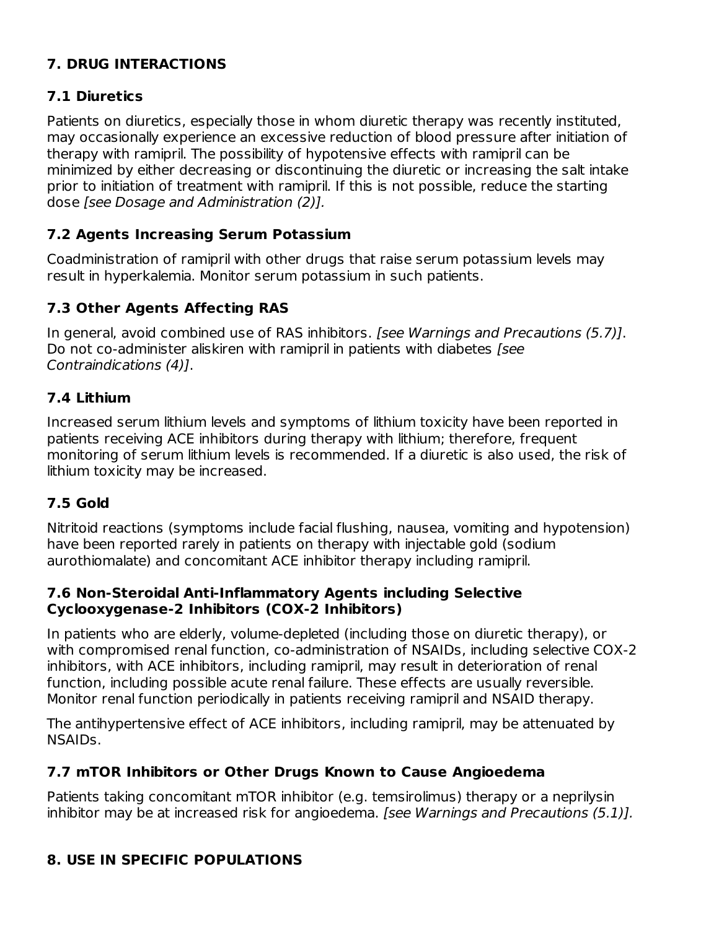## **7. DRUG INTERACTIONS**

## **7.1 Diuretics**

Patients on diuretics, especially those in whom diuretic therapy was recently instituted, may occasionally experience an excessive reduction of blood pressure after initiation of therapy with ramipril. The possibility of hypotensive effects with ramipril can be minimized by either decreasing or discontinuing the diuretic or increasing the salt intake prior to initiation of treatment with ramipril. If this is not possible, reduce the starting dose [see Dosage and Administration (2)].

## **7.2 Agents Increasing Serum Potassium**

Coadministration of ramipril with other drugs that raise serum potassium levels may result in hyperkalemia. Monitor serum potassium in such patients.

## **7.3 Other Agents Affecting RAS**

In general, avoid combined use of RAS inhibitors. [see Warnings and Precautions (5.7)]. Do not co-administer aliskiren with ramipril in patients with diabetes [see Contraindications (4)].

## **7.4 Lithium**

Increased serum lithium levels and symptoms of lithium toxicity have been reported in patients receiving ACE inhibitors during therapy with lithium; therefore, frequent monitoring of serum lithium levels is recommended. If a diuretic is also used, the risk of lithium toxicity may be increased.

## **7.5 Gold**

Nitritoid reactions (symptoms include facial flushing, nausea, vomiting and hypotension) have been reported rarely in patients on therapy with injectable gold (sodium aurothiomalate) and concomitant ACE inhibitor therapy including ramipril.

### **7.6 Non-Steroidal Anti-Inflammatory Agents including Selective Cyclooxygenase-2 Inhibitors (COX-2 Inhibitors)**

In patients who are elderly, volume-depleted (including those on diuretic therapy), or with compromised renal function, co-administration of NSAIDs, including selective COX-2 inhibitors, with ACE inhibitors, including ramipril, may result in deterioration of renal function, including possible acute renal failure. These effects are usually reversible. Monitor renal function periodically in patients receiving ramipril and NSAID therapy.

The antihypertensive effect of ACE inhibitors, including ramipril, may be attenuated by NSAIDs.

## **7.7 mTOR Inhibitors or Other Drugs Known to Cause Angioedema**

Patients taking concomitant mTOR inhibitor (e.g. temsirolimus) therapy or a neprilysin inhibitor may be at increased risk for angioedema. [see Warnings and Precautions (5.1)].

## **8. USE IN SPECIFIC POPULATIONS**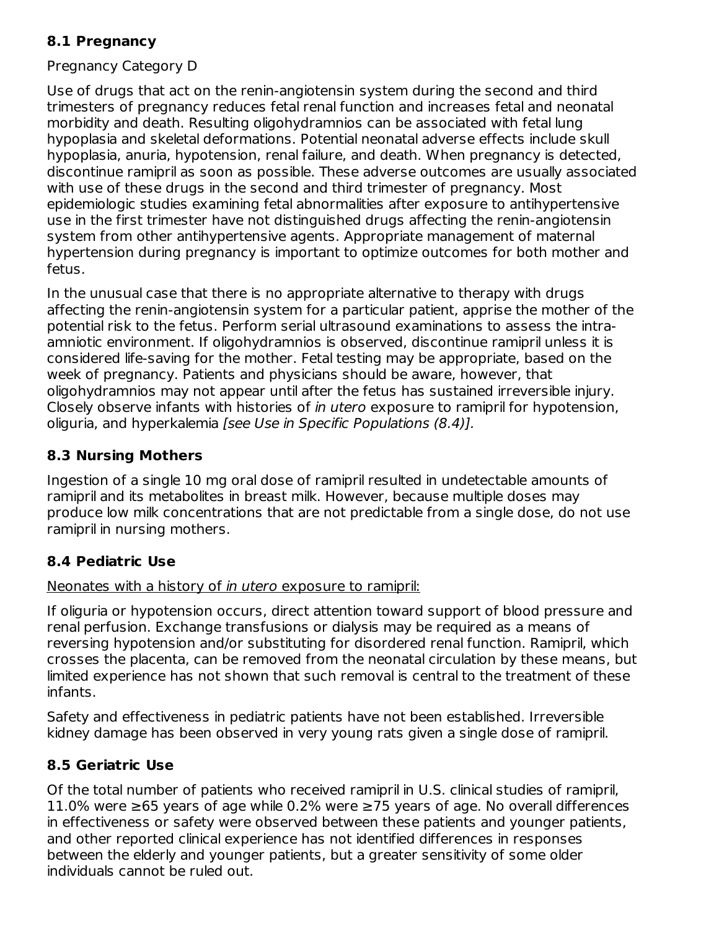## **8.1 Pregnancy**

### Pregnancy Category D

Use of drugs that act on the renin-angiotensin system during the second and third trimesters of pregnancy reduces fetal renal function and increases fetal and neonatal morbidity and death. Resulting oligohydramnios can be associated with fetal lung hypoplasia and skeletal deformations. Potential neonatal adverse effects include skull hypoplasia, anuria, hypotension, renal failure, and death. When pregnancy is detected, discontinue ramipril as soon as possible. These adverse outcomes are usually associated with use of these drugs in the second and third trimester of pregnancy. Most epidemiologic studies examining fetal abnormalities after exposure to antihypertensive use in the first trimester have not distinguished drugs affecting the renin-angiotensin system from other antihypertensive agents. Appropriate management of maternal hypertension during pregnancy is important to optimize outcomes for both mother and fetus.

In the unusual case that there is no appropriate alternative to therapy with drugs affecting the renin-angiotensin system for a particular patient, apprise the mother of the potential risk to the fetus. Perform serial ultrasound examinations to assess the intraamniotic environment. If oligohydramnios is observed, discontinue ramipril unless it is considered life-saving for the mother. Fetal testing may be appropriate, based on the week of pregnancy. Patients and physicians should be aware, however, that oligohydramnios may not appear until after the fetus has sustained irreversible injury. Closely observe infants with histories of in utero exposure to ramipril for hypotension, oliguria, and hyperkalemia [see Use in Specific Populations (8.4)].

### **8.3 Nursing Mothers**

Ingestion of a single 10 mg oral dose of ramipril resulted in undetectable amounts of ramipril and its metabolites in breast milk. However, because multiple doses may produce low milk concentrations that are not predictable from a single dose, do not use ramipril in nursing mothers.

### **8.4 Pediatric Use**

### Neonates with a history of *in utero* exposure to ramipril:

If oliguria or hypotension occurs, direct attention toward support of blood pressure and renal perfusion. Exchange transfusions or dialysis may be required as a means of reversing hypotension and/or substituting for disordered renal function. Ramipril, which crosses the placenta, can be removed from the neonatal circulation by these means, but limited experience has not shown that such removal is central to the treatment of these infants.

Safety and effectiveness in pediatric patients have not been established. Irreversible kidney damage has been observed in very young rats given a single dose of ramipril.

## **8.5 Geriatric Use**

Of the total number of patients who received ramipril in U.S. clinical studies of ramipril, 11.0% were ≥65 years of age while 0.2% were ≥75 years of age. No overall differences in effectiveness or safety were observed between these patients and younger patients, and other reported clinical experience has not identified differences in responses between the elderly and younger patients, but a greater sensitivity of some older individuals cannot be ruled out.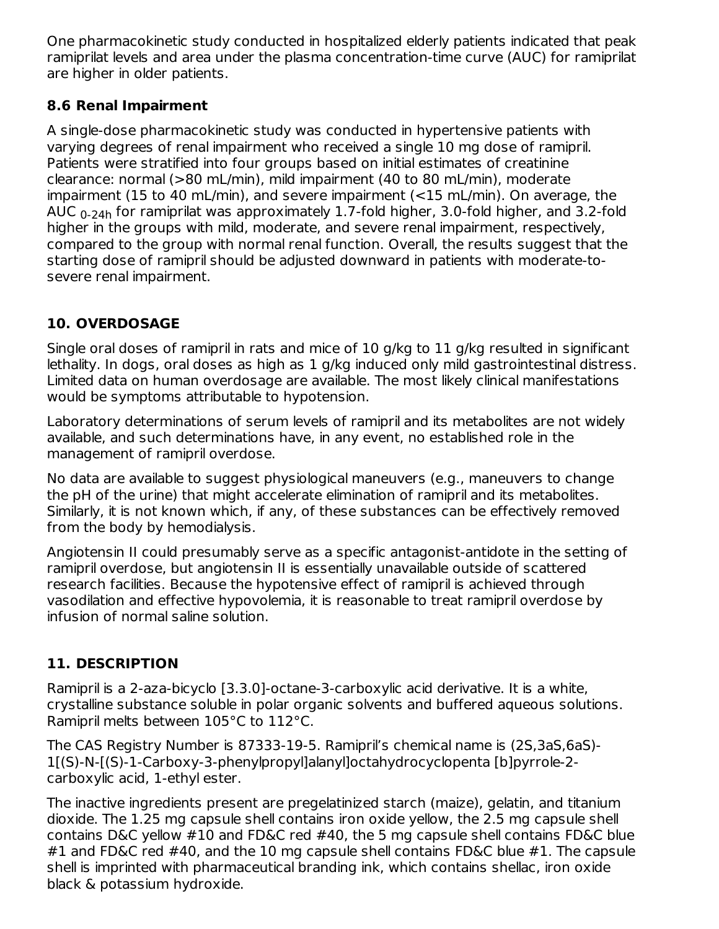One pharmacokinetic study conducted in hospitalized elderly patients indicated that peak ramiprilat levels and area under the plasma concentration-time curve (AUC) for ramiprilat are higher in older patients.

## **8.6 Renal Impairment**

A single-dose pharmacokinetic study was conducted in hypertensive patients with varying degrees of renal impairment who received a single 10 mg dose of ramipril. Patients were stratified into four groups based on initial estimates of creatinine clearance: normal (>80 mL/min), mild impairment (40 to 80 mL/min), moderate impairment (15 to 40 mL/min), and severe impairment (<15 mL/min). On average, the AUC  $_{\rm 0-24h}$  for ramiprilat was approximately 1.7-fold higher, 3.0-fold higher, and 3.2-fold higher in the groups with mild, moderate, and severe renal impairment, respectively, compared to the group with normal renal function. Overall, the results suggest that the starting dose of ramipril should be adjusted downward in patients with moderate-tosevere renal impairment.

## **10. OVERDOSAGE**

Single oral doses of ramipril in rats and mice of 10 g/kg to 11 g/kg resulted in significant lethality. In dogs, oral doses as high as 1 g/kg induced only mild gastrointestinal distress. Limited data on human overdosage are available. The most likely clinical manifestations would be symptoms attributable to hypotension.

Laboratory determinations of serum levels of ramipril and its metabolites are not widely available, and such determinations have, in any event, no established role in the management of ramipril overdose.

No data are available to suggest physiological maneuvers (e.g., maneuvers to change the pH of the urine) that might accelerate elimination of ramipril and its metabolites. Similarly, it is not known which, if any, of these substances can be effectively removed from the body by hemodialysis.

Angiotensin II could presumably serve as a specific antagonist-antidote in the setting of ramipril overdose, but angiotensin II is essentially unavailable outside of scattered research facilities. Because the hypotensive effect of ramipril is achieved through vasodilation and effective hypovolemia, it is reasonable to treat ramipril overdose by infusion of normal saline solution.

## **11. DESCRIPTION**

Ramipril is a 2-aza-bicyclo [3.3.0]-octane-3-carboxylic acid derivative. It is a white, crystalline substance soluble in polar organic solvents and buffered aqueous solutions. Ramipril melts between 105°C to 112°C.

The CAS Registry Number is 87333-19-5. Ramipril's chemical name is (2S,3aS,6aS)- 1[(S)-N-[(S)-1-Carboxy-3-phenylpropyl]alanyl]octahydrocyclopenta [b]pyrrole-2 carboxylic acid, 1-ethyl ester.

The inactive ingredients present are pregelatinized starch (maize), gelatin, and titanium dioxide. The 1.25 mg capsule shell contains iron oxide yellow, the 2.5 mg capsule shell contains D&C yellow #10 and FD&C red #40, the 5 mg capsule shell contains FD&C blue #1 and FD&C red #40, and the 10 mg capsule shell contains FD&C blue #1. The capsule shell is imprinted with pharmaceutical branding ink, which contains shellac, iron oxide black & potassium hydroxide.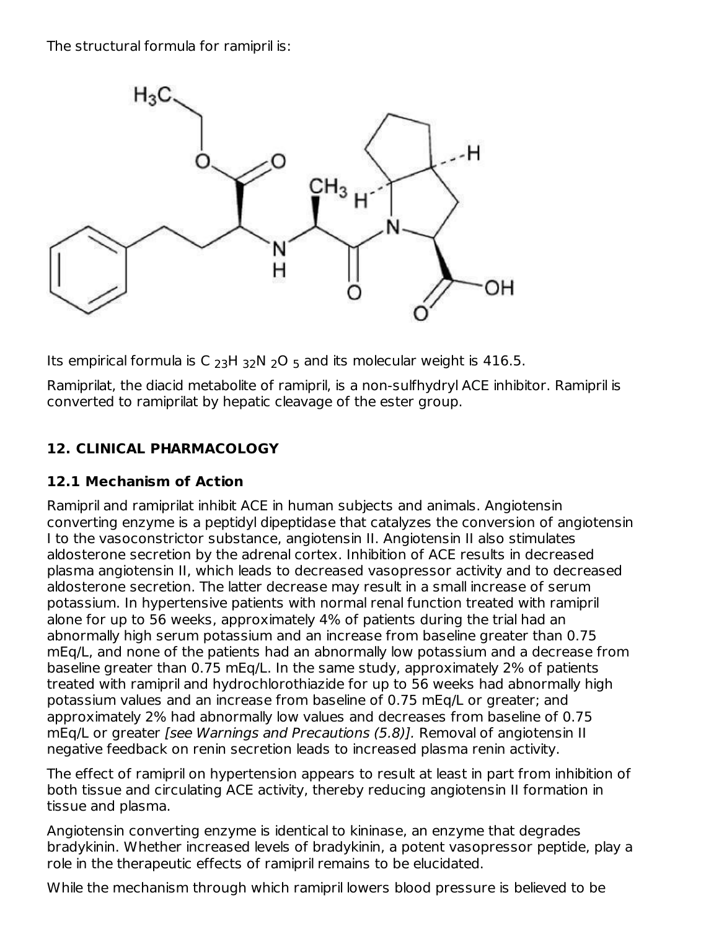The structural formula for ramipril is:



Its empirical formula is C  $_{23}$ H  $_{32}$ N  $_{2}$ O  $_{5}$  and its molecular weight is 416.5.

Ramiprilat, the diacid metabolite of ramipril, is a non-sulfhydryl ACE inhibitor. Ramipril is converted to ramiprilat by hepatic cleavage of the ester group.

## **12. CLINICAL PHARMACOLOGY**

## **12.1 Mechanism of Action**

Ramipril and ramiprilat inhibit ACE in human subjects and animals. Angiotensin converting enzyme is a peptidyl dipeptidase that catalyzes the conversion of angiotensin I to the vasoconstrictor substance, angiotensin II. Angiotensin II also stimulates aldosterone secretion by the adrenal cortex. Inhibition of ACE results in decreased plasma angiotensin II, which leads to decreased vasopressor activity and to decreased aldosterone secretion. The latter decrease may result in a small increase of serum potassium. In hypertensive patients with normal renal function treated with ramipril alone for up to 56 weeks, approximately 4% of patients during the trial had an abnormally high serum potassium and an increase from baseline greater than 0.75 mEq/L, and none of the patients had an abnormally low potassium and a decrease from baseline greater than 0.75 mEq/L. In the same study, approximately 2% of patients treated with ramipril and hydrochlorothiazide for up to 56 weeks had abnormally high potassium values and an increase from baseline of 0.75 mEq/L or greater; and approximately 2% had abnormally low values and decreases from baseline of 0.75 mEq/L or greater [see Warnings and Precautions (5.8)]. Removal of angiotensin II negative feedback on renin secretion leads to increased plasma renin activity.

The effect of ramipril on hypertension appears to result at least in part from inhibition of both tissue and circulating ACE activity, thereby reducing angiotensin II formation in tissue and plasma.

Angiotensin converting enzyme is identical to kininase, an enzyme that degrades bradykinin. Whether increased levels of bradykinin, a potent vasopressor peptide, play a role in the therapeutic effects of ramipril remains to be elucidated.

While the mechanism through which ramipril lowers blood pressure is believed to be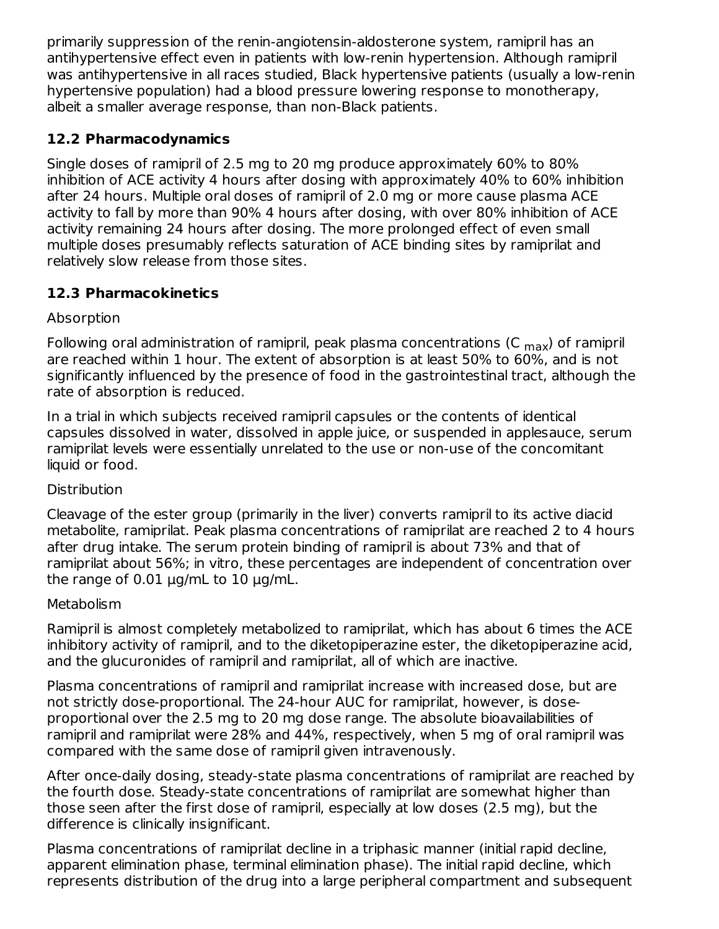primarily suppression of the renin-angiotensin-aldosterone system, ramipril has an antihypertensive effect even in patients with low-renin hypertension. Although ramipril was antihypertensive in all races studied, Black hypertensive patients (usually a low-renin hypertensive population) had a blood pressure lowering response to monotherapy, albeit a smaller average response, than non-Black patients.

## **12.2 Pharmacodynamics**

Single doses of ramipril of 2.5 mg to 20 mg produce approximately 60% to 80% inhibition of ACE activity 4 hours after dosing with approximately 40% to 60% inhibition after 24 hours. Multiple oral doses of ramipril of 2.0 mg or more cause plasma ACE activity to fall by more than 90% 4 hours after dosing, with over 80% inhibition of ACE activity remaining 24 hours after dosing. The more prolonged effect of even small multiple doses presumably reflects saturation of ACE binding sites by ramiprilat and relatively slow release from those sites.

## **12.3 Pharmacokinetics**

## **Absorption**

Following oral administration of ramipril, peak plasma concentrations (C  $_{\sf max}$ ) of ramipril are reached within 1 hour. The extent of absorption is at least 50% to 60%, and is not significantly influenced by the presence of food in the gastrointestinal tract, although the rate of absorption is reduced.

In a trial in which subjects received ramipril capsules or the contents of identical capsules dissolved in water, dissolved in apple juice, or suspended in applesauce, serum ramiprilat levels were essentially unrelated to the use or non-use of the concomitant liquid or food.

## **Distribution**

Cleavage of the ester group (primarily in the liver) converts ramipril to its active diacid metabolite, ramiprilat. Peak plasma concentrations of ramiprilat are reached 2 to 4 hours after drug intake. The serum protein binding of ramipril is about 73% and that of ramiprilat about 56%; in vitro, these percentages are independent of concentration over the range of  $0.01 \mu g/mL$  to  $10 \mu g/mL$ .

## Metabolism

Ramipril is almost completely metabolized to ramiprilat, which has about 6 times the ACE inhibitory activity of ramipril, and to the diketopiperazine ester, the diketopiperazine acid, and the glucuronides of ramipril and ramiprilat, all of which are inactive.

Plasma concentrations of ramipril and ramiprilat increase with increased dose, but are not strictly dose-proportional. The 24-hour AUC for ramiprilat, however, is doseproportional over the 2.5 mg to 20 mg dose range. The absolute bioavailabilities of ramipril and ramiprilat were 28% and 44%, respectively, when 5 mg of oral ramipril was compared with the same dose of ramipril given intravenously.

After once-daily dosing, steady-state plasma concentrations of ramiprilat are reached by the fourth dose. Steady-state concentrations of ramiprilat are somewhat higher than those seen after the first dose of ramipril, especially at low doses (2.5 mg), but the difference is clinically insignificant.

Plasma concentrations of ramiprilat decline in a triphasic manner (initial rapid decline, apparent elimination phase, terminal elimination phase). The initial rapid decline, which represents distribution of the drug into a large peripheral compartment and subsequent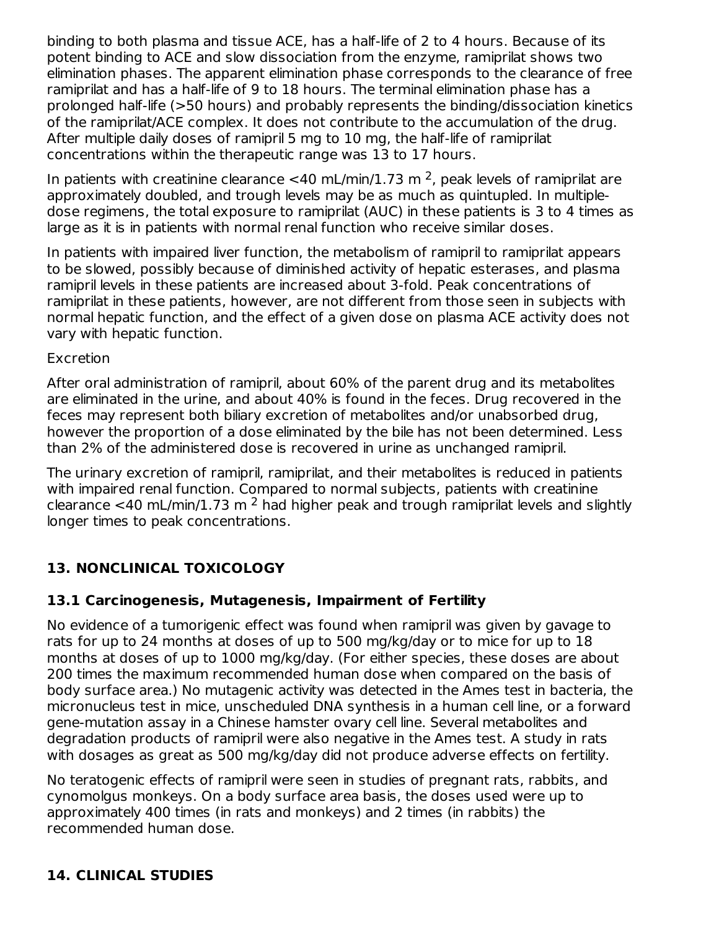binding to both plasma and tissue ACE, has a half-life of 2 to 4 hours. Because of its potent binding to ACE and slow dissociation from the enzyme, ramiprilat shows two elimination phases. The apparent elimination phase corresponds to the clearance of free ramiprilat and has a half-life of 9 to 18 hours. The terminal elimination phase has a prolonged half-life (>50 hours) and probably represents the binding/dissociation kinetics of the ramiprilat/ACE complex. It does not contribute to the accumulation of the drug. After multiple daily doses of ramipril 5 mg to 10 mg, the half-life of ramiprilat concentrations within the therapeutic range was 13 to 17 hours.

In patients with creatinine clearance <40 mL/min/1.73 m<sup>2</sup>, peak levels of ramiprilat are approximately doubled, and trough levels may be as much as quintupled. In multipledose regimens, the total exposure to ramiprilat (AUC) in these patients is 3 to 4 times as large as it is in patients with normal renal function who receive similar doses.

In patients with impaired liver function, the metabolism of ramipril to ramiprilat appears to be slowed, possibly because of diminished activity of hepatic esterases, and plasma ramipril levels in these patients are increased about 3-fold. Peak concentrations of ramiprilat in these patients, however, are not different from those seen in subjects with normal hepatic function, and the effect of a given dose on plasma ACE activity does not vary with hepatic function.

### Excretion

After oral administration of ramipril, about 60% of the parent drug and its metabolites are eliminated in the urine, and about 40% is found in the feces. Drug recovered in the feces may represent both biliary excretion of metabolites and/or unabsorbed drug, however the proportion of a dose eliminated by the bile has not been determined. Less than 2% of the administered dose is recovered in urine as unchanged ramipril.

The urinary excretion of ramipril, ramiprilat, and their metabolites is reduced in patients with impaired renal function. Compared to normal subjects, patients with creatinine clearance <40 mL/min/1.73 m<sup>2</sup> had higher peak and trough ramiprilat levels and slightly longer times to peak concentrations.

## **13. NONCLINICAL TOXICOLOGY**

## **13.1 Carcinogenesis, Mutagenesis, Impairment of Fertility**

No evidence of a tumorigenic effect was found when ramipril was given by gavage to rats for up to 24 months at doses of up to 500 mg/kg/day or to mice for up to 18 months at doses of up to 1000 mg/kg/day. (For either species, these doses are about 200 times the maximum recommended human dose when compared on the basis of body surface area.) No mutagenic activity was detected in the Ames test in bacteria, the micronucleus test in mice, unscheduled DNA synthesis in a human cell line, or a forward gene-mutation assay in a Chinese hamster ovary cell line. Several metabolites and degradation products of ramipril were also negative in the Ames test. A study in rats with dosages as great as 500 mg/kg/day did not produce adverse effects on fertility.

No teratogenic effects of ramipril were seen in studies of pregnant rats, rabbits, and cynomolgus monkeys. On a body surface area basis, the doses used were up to approximately 400 times (in rats and monkeys) and 2 times (in rabbits) the recommended human dose.

## **14. CLINICAL STUDIES**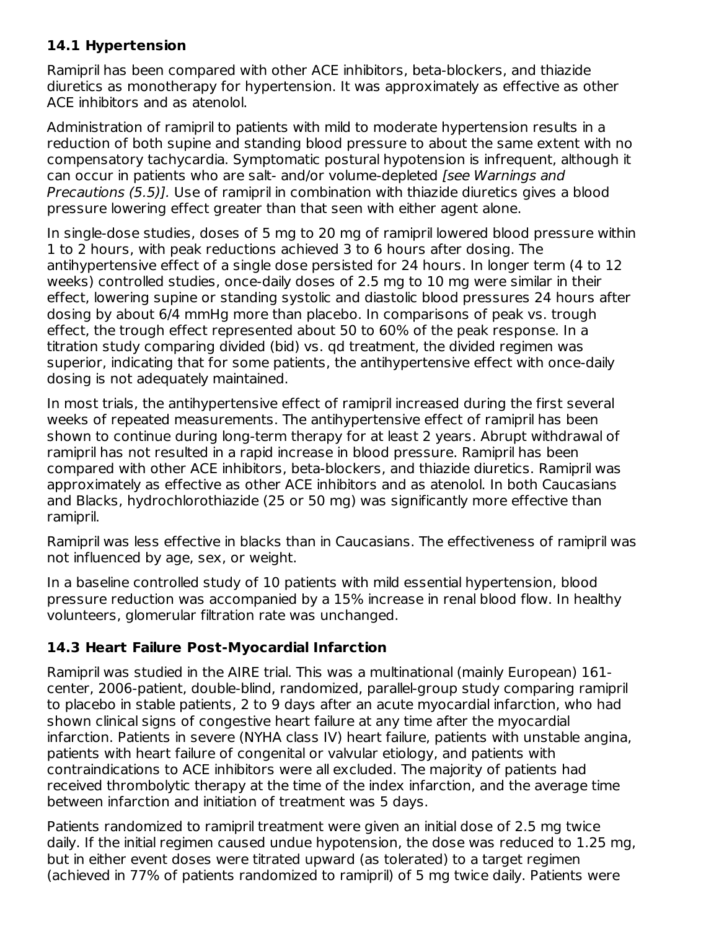### **14.1 Hypertension**

Ramipril has been compared with other ACE inhibitors, beta-blockers, and thiazide diuretics as monotherapy for hypertension. It was approximately as effective as other ACE inhibitors and as atenolol.

Administration of ramipril to patients with mild to moderate hypertension results in a reduction of both supine and standing blood pressure to about the same extent with no compensatory tachycardia. Symptomatic postural hypotension is infrequent, although it can occur in patients who are salt- and/or volume-depleted [see Warnings and Precautions (5.5)]. Use of ramipril in combination with thiazide diuretics gives a blood pressure lowering effect greater than that seen with either agent alone.

In single-dose studies, doses of 5 mg to 20 mg of ramipril lowered blood pressure within 1 to 2 hours, with peak reductions achieved 3 to 6 hours after dosing. The antihypertensive effect of a single dose persisted for 24 hours. In longer term (4 to 12 weeks) controlled studies, once-daily doses of 2.5 mg to 10 mg were similar in their effect, lowering supine or standing systolic and diastolic blood pressures 24 hours after dosing by about 6/4 mmHg more than placebo. In comparisons of peak vs. trough effect, the trough effect represented about 50 to 60% of the peak response. In a titration study comparing divided (bid) vs. qd treatment, the divided regimen was superior, indicating that for some patients, the antihypertensive effect with once-daily dosing is not adequately maintained.

In most trials, the antihypertensive effect of ramipril increased during the first several weeks of repeated measurements. The antihypertensive effect of ramipril has been shown to continue during long-term therapy for at least 2 years. Abrupt withdrawal of ramipril has not resulted in a rapid increase in blood pressure. Ramipril has been compared with other ACE inhibitors, beta-blockers, and thiazide diuretics. Ramipril was approximately as effective as other ACE inhibitors and as atenolol. In both Caucasians and Blacks, hydrochlorothiazide (25 or 50 mg) was significantly more effective than ramipril.

Ramipril was less effective in blacks than in Caucasians. The effectiveness of ramipril was not influenced by age, sex, or weight.

In a baseline controlled study of 10 patients with mild essential hypertension, blood pressure reduction was accompanied by a 15% increase in renal blood flow. In healthy volunteers, glomerular filtration rate was unchanged.

## **14.3 Heart Failure Post-Myocardial Infarction**

Ramipril was studied in the AIRE trial. This was a multinational (mainly European) 161 center, 2006-patient, double-blind, randomized, parallel-group study comparing ramipril to placebo in stable patients, 2 to 9 days after an acute myocardial infarction, who had shown clinical signs of congestive heart failure at any time after the myocardial infarction. Patients in severe (NYHA class IV) heart failure, patients with unstable angina, patients with heart failure of congenital or valvular etiology, and patients with contraindications to ACE inhibitors were all excluded. The majority of patients had received thrombolytic therapy at the time of the index infarction, and the average time between infarction and initiation of treatment was 5 days.

Patients randomized to ramipril treatment were given an initial dose of 2.5 mg twice daily. If the initial regimen caused undue hypotension, the dose was reduced to 1.25 mg, but in either event doses were titrated upward (as tolerated) to a target regimen (achieved in 77% of patients randomized to ramipril) of 5 mg twice daily. Patients were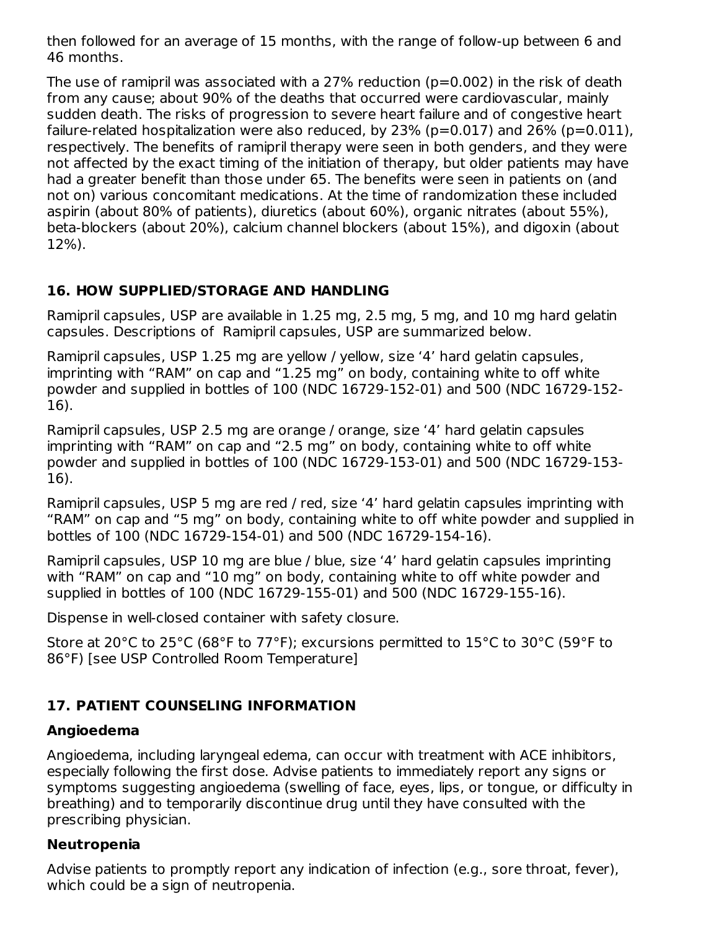then followed for an average of 15 months, with the range of follow-up between 6 and 46 months.

The use of ramipril was associated with a 27% reduction ( $p=0.002$ ) in the risk of death from any cause; about 90% of the deaths that occurred were cardiovascular, mainly sudden death. The risks of progression to severe heart failure and of congestive heart failure-related hospitalization were also reduced, by  $23\%$  (p=0.017) and  $26\%$  (p=0.011), respectively. The benefits of ramipril therapy were seen in both genders, and they were not affected by the exact timing of the initiation of therapy, but older patients may have had a greater benefit than those under 65. The benefits were seen in patients on (and not on) various concomitant medications. At the time of randomization these included aspirin (about 80% of patients), diuretics (about 60%), organic nitrates (about 55%), beta-blockers (about 20%), calcium channel blockers (about 15%), and digoxin (about 12%).

## **16. HOW SUPPLIED/STORAGE AND HANDLING**

Ramipril capsules, USP are available in 1.25 mg, 2.5 mg, 5 mg, and 10 mg hard gelatin capsules. Descriptions of Ramipril capsules, USP are summarized below.

Ramipril capsules, USP 1.25 mg are yellow / yellow, size '4' hard gelatin capsules, imprinting with "RAM" on cap and "1.25 mg" on body, containing white to off white powder and supplied in bottles of 100 (NDC 16729-152-01) and 500 (NDC 16729-152- 16).

Ramipril capsules, USP 2.5 mg are orange / orange, size '4' hard gelatin capsules imprinting with "RAM" on cap and "2.5 mg" on body, containing white to off white powder and supplied in bottles of 100 (NDC 16729-153-01) and 500 (NDC 16729-153- 16).

Ramipril capsules, USP 5 mg are red / red, size '4' hard gelatin capsules imprinting with "RAM" on cap and "5 mg" on body, containing white to off white powder and supplied in bottles of 100 (NDC 16729-154-01) and 500 (NDC 16729-154-16).

Ramipril capsules, USP 10 mg are blue / blue, size '4' hard gelatin capsules imprinting with "RAM" on cap and "10 mg" on body, containing white to off white powder and supplied in bottles of 100 (NDC 16729-155-01) and 500 (NDC 16729-155-16).

Dispense in well-closed container with safety closure.

Store at 20°C to 25°C (68°F to 77°F); excursions permitted to 15°C to 30°C (59°F to 86°F) [see USP Controlled Room Temperature]

## **17. PATIENT COUNSELING INFORMATION**

### **Angioedema**

Angioedema, including laryngeal edema, can occur with treatment with ACE inhibitors, especially following the first dose. Advise patients to immediately report any signs or symptoms suggesting angioedema (swelling of face, eyes, lips, or tongue, or difficulty in breathing) and to temporarily discontinue drug until they have consulted with the prescribing physician.

### **Neutropenia**

Advise patients to promptly report any indication of infection (e.g., sore throat, fever), which could be a sign of neutropenia.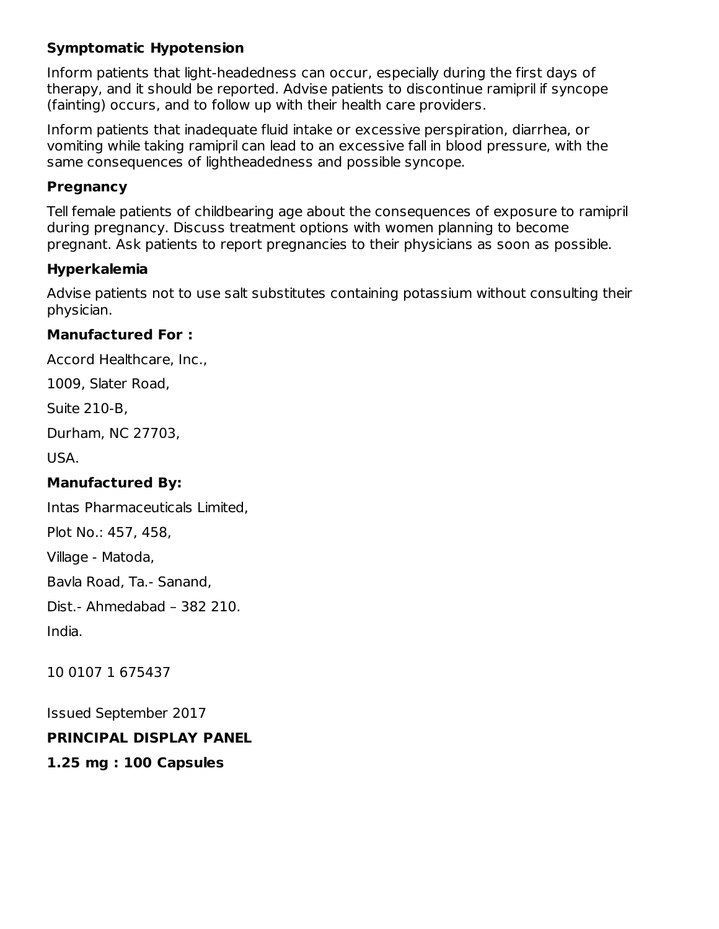## **Symptomatic Hypotension**

Inform patients that light-headedness can occur, especially during the first days of therapy, and it should be reported. Advise patients to discontinue ramipril if syncope (fainting) occurs, and to follow up with their health care providers.

Inform patients that inadequate fluid intake or excessive perspiration, diarrhea, or vomiting while taking ramipril can lead to an excessive fall in blood pressure, with the same consequences of lightheadedness and possible syncope.

### **Pregnancy**

Tell female patients of childbearing age about the consequences of exposure to ramipril during pregnancy. Discuss treatment options with women planning to become pregnant. Ask patients to report pregnancies to their physicians as soon as possible.

### **Hyperkalemia**

Advise patients not to use salt substitutes containing potassium without consulting their physician.

### **Manufactured For :**

Accord Healthcare, Inc.,

1009, Slater Road,

Suite 210-B,

Durham, NC 27703,

USA.

## **Manufactured By:**

Intas Pharmaceuticals Limited,

Plot No.: 457, 458,

Village - Matoda,

Bavla Road, Ta.- Sanand,

Dist.- Ahmedabad – 382 210.

India.

10 0107 1 675437

Issued September 2017

## **PRINCIPAL DISPLAY PANEL**

## **1.25 mg : 100 Capsules**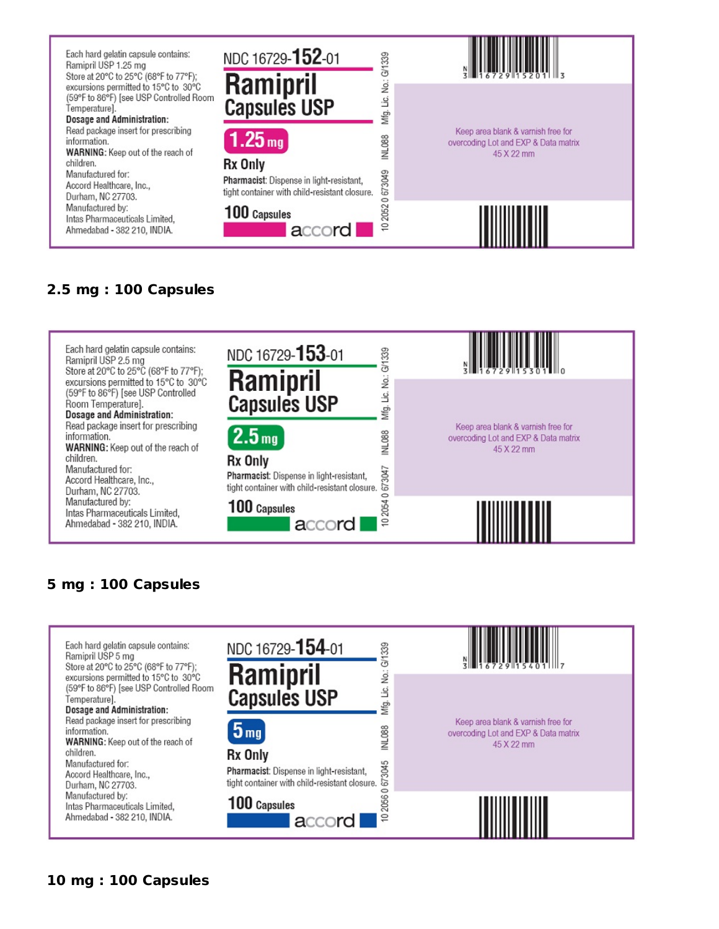

## **2.5 mg : 100 Capsules**



## **mg : 100 Capsules**

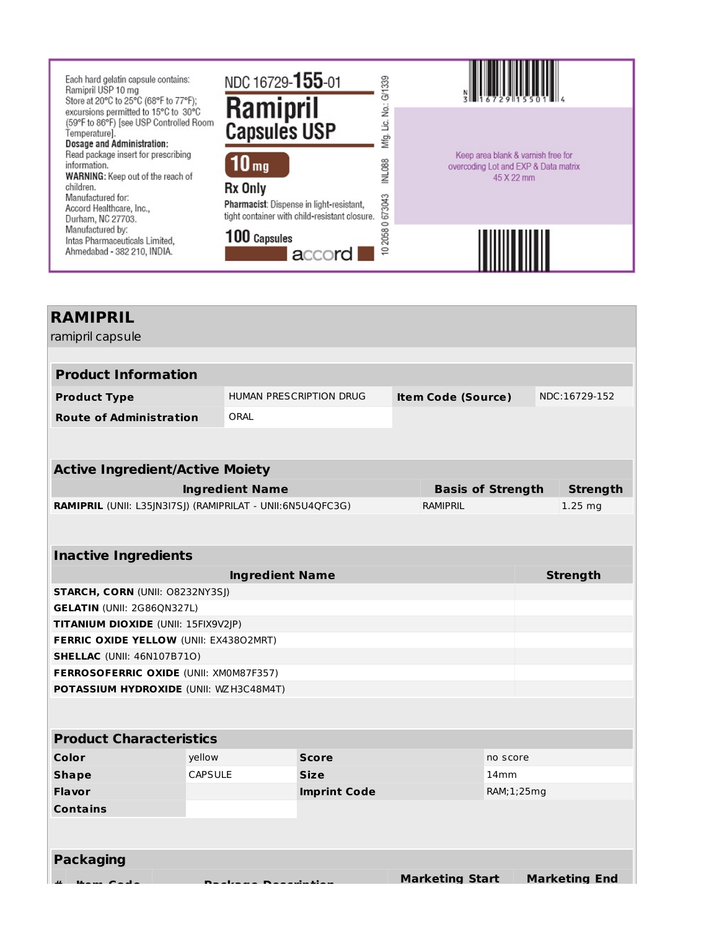

# **RAMIPRIL** ramipril capsule **Product Information Product Type** HUMAN PRESCRIPTION DRUG **Item Code (Source)** NDC:16729-152 **Route of Administration** ORAL **Active Ingredient/Active Moiety Ingredient Name Basis of Strength Strength** RAMIPRIL (UNII: L35JN3I7SJ) (RAMIPRILAT - UNII:6N5U4QFC3G) RAMIPRIL 25 mg **Inactive Ingredients Ingredient Name Strength STARCH, CORN** (UNII: O8232NY3SJ) **GELATIN** (UNII: 2G86QN327L) **TITANIUM DIOXIDE** (UNII: 15FIX9V2JP) **FERRIC OXIDE YELLOW** (UNII: EX438O2MRT) **SHELLAC** (UNII: 46N107B71O) **FERROSOFERRIC OXIDE** (UNII: XM0M87F357) **POTASSIUM HYDROXIDE** (UNII: WZH3C48M4T) **Product Characteristics Color** yellow **Score** no score **Shape** CAPSULE **Size** 14mm **Flavor Imprint Code** RAM;1;25mg **Contains Packaging Marketing Start Marketing End**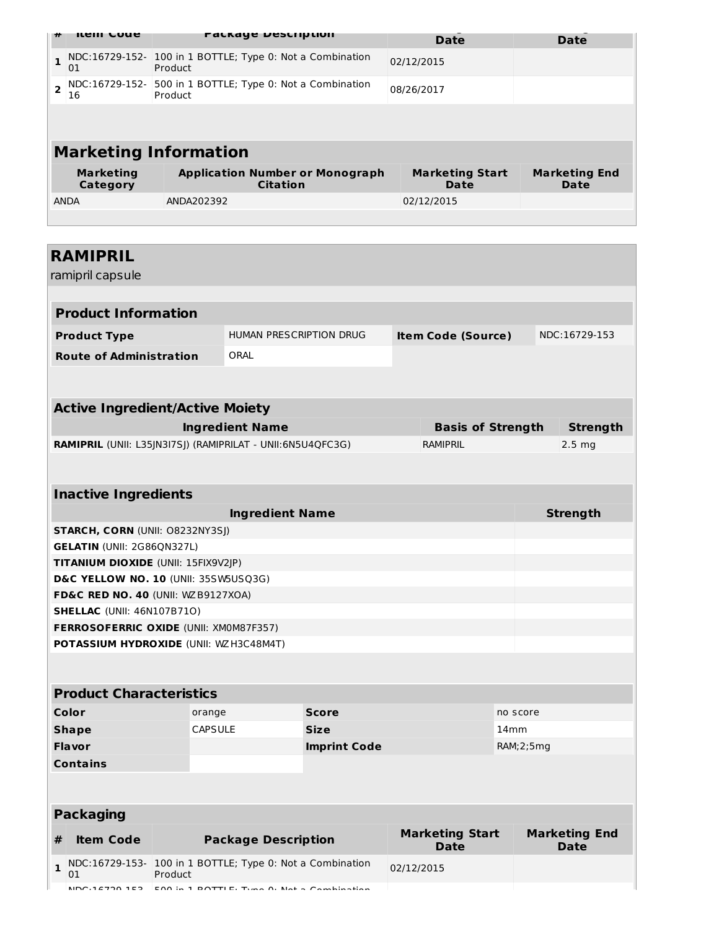| ** | ileni Code                   | <b>FALKAYE DESCRIPLION</b>                                           | <b>Date</b>                    | <b>Date</b>                  |
|----|------------------------------|----------------------------------------------------------------------|--------------------------------|------------------------------|
|    | 01                           | NDC:16729-152- 100 in 1 BOTTLE; Type 0: Not a Combination<br>Product | 02/12/2015                     |                              |
|    | 16                           | NDC:16729-152- 500 in 1 BOTTLE; Type 0: Not a Combination<br>Product | 08/26/2017                     |                              |
|    |                              |                                                                      |                                |                              |
|    |                              | <b>Marketing Information</b>                                         |                                |                              |
|    | <b>Marketing</b><br>Category | <b>Application Number or Monograph</b><br><b>Citation</b>            | <b>Marketing Start</b><br>Date | <b>Marketing End</b><br>Date |
|    | ANDA                         | ANDA202392                                                           | 02/12/2015                     |                              |
|    |                              |                                                                      |                                |                              |

# **RAMIPRIL**

ramipril capsule

| <b>Product Information</b>     |                         |                           |               |  |  |  |  |
|--------------------------------|-------------------------|---------------------------|---------------|--|--|--|--|
| <b>Product Type</b>            | HUMAN PRESCRIPTION DRUG | <b>Item Code (Source)</b> | NDC:16729-153 |  |  |  |  |
| <b>Route of Administration</b> | ORAL                    |                           |               |  |  |  |  |
|                                |                         |                           |               |  |  |  |  |

| <b>Active Ingredient/Active Moiety</b>                            |                          |          |  |  |  |  |
|-------------------------------------------------------------------|--------------------------|----------|--|--|--|--|
| <b>Ingredient Name</b>                                            | <b>Basis of Strength</b> | Strenath |  |  |  |  |
| <b>RAMIPRIL</b> (UNII: L35JN3I7SI) (RAMIPRILAT - UNII:6N5U4OFC3G) | RAMIPRIL                 | $2.5$ mg |  |  |  |  |

### **Inactive Ingredients Ingredient Name Strength STARCH, CORN** (UNII: O8232NY3SJ) **GELATIN** (UNII: 2G86QN327L) **TITANIUM DIOXIDE** (UNII: 15FIX9V2JP) **D&C YELLOW NO. 10** (UNII: 35SW5USQ3G) **FD&C RED NO. 40** (UNII: WZB9127XOA) **SHELLAC** (UNII: 46N107B71O) **FERROSOFERRIC OXIDE** (UNII: XM0M87F357) **POTASSIUM HYDROXIDE** (UNII: WZH3C48M4T)

| <b>Product Characteristics</b> |                |                     |              |  |  |  |
|--------------------------------|----------------|---------------------|--------------|--|--|--|
| Color                          | orange         | <b>Score</b>        | no score     |  |  |  |
| <b>Shape</b>                   | <b>CAPSULE</b> | <b>Size</b>         | 14mm         |  |  |  |
| <b>Flavor</b>                  |                | <b>Imprint Code</b> | RAM; 2; 5 mg |  |  |  |
| <b>Contains</b>                |                |                     |              |  |  |  |

| <b>Packaging</b>                               |                                                                              |                                       |                                     |  |  |  |  |  |
|------------------------------------------------|------------------------------------------------------------------------------|---------------------------------------|-------------------------------------|--|--|--|--|--|
| <b>Package Description</b><br><b>Item Code</b> |                                                                              | <b>Marketing Start</b><br><b>Date</b> | <b>Marketing End</b><br><b>Date</b> |  |  |  |  |  |
| 01                                             | $\vert$ NDC:16729-153- 100 in 1 BOTTLE; Type 0: Not a Combination<br>Product | 02/12/2015                            |                                     |  |  |  |  |  |
|                                                | MDC $16720.152$ $E00$ in 1 DOTTLE, Tune 0. Not a Combination                 |                                       |                                     |  |  |  |  |  |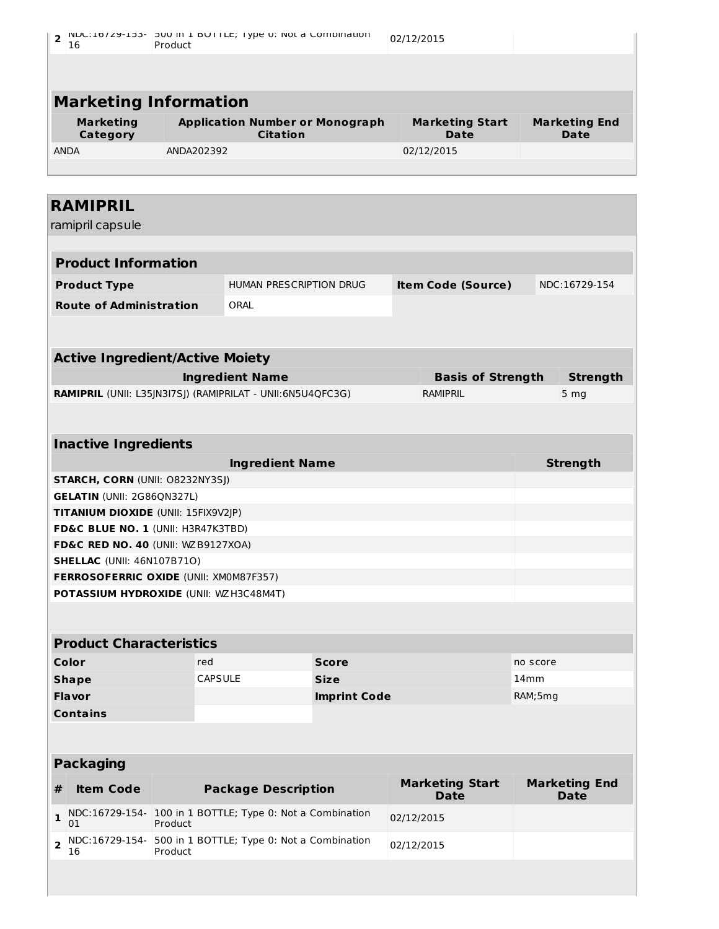| $\overline{\mathbf{c}}$<br>16                                               | Product        | INDC:10729-153-   JOU IN I BOTTLE; Type 0: NOL a COMDINATION |              | 02/12/2015                     |          |                                     |
|-----------------------------------------------------------------------------|----------------|--------------------------------------------------------------|--------------|--------------------------------|----------|-------------------------------------|
|                                                                             |                |                                                              |              |                                |          |                                     |
| <b>Marketing Information</b>                                                |                |                                                              |              |                                |          |                                     |
| <b>Marketing</b><br><b>Category</b>                                         |                | <b>Application Number or Monograph</b><br><b>Citation</b>    |              | <b>Marketing Start</b><br>Date |          | <b>Marketing End</b><br><b>Date</b> |
| <b>ANDA</b>                                                                 | ANDA202392     |                                                              |              | 02/12/2015                     |          |                                     |
| <b>RAMIPRIL</b>                                                             |                |                                                              |              |                                |          |                                     |
| ramipril capsule                                                            |                |                                                              |              |                                |          |                                     |
| <b>Product Information</b>                                                  |                |                                                              |              |                                |          |                                     |
| <b>Product Type</b>                                                         |                | HUMAN PRESCRIPTION DRUG                                      |              | <b>Item Code (Source)</b>      |          | NDC:16729-154                       |
| <b>Route of Administration</b>                                              |                | ORAL                                                         |              |                                |          |                                     |
| <b>Active Ingredient/Active Moiety</b>                                      |                | <b>Ingredient Name</b>                                       |              | <b>Basis of Strength</b>       |          | <b>Strength</b>                     |
| RAMIPRIL (UNII: L35JN3I7SJ) (RAMIPRILAT - UNII:6N5U4QFC3G)                  |                |                                                              |              | <b>RAMIPRIL</b>                |          | 5 <sub>mg</sub>                     |
| <b>Inactive Ingredients</b>                                                 |                |                                                              |              |                                |          |                                     |
|                                                                             |                | <b>Ingredient Name</b>                                       |              |                                |          | <b>Strength</b>                     |
| <b>STARCH, CORN (UNII: O8232NY3SJ)</b>                                      |                |                                                              |              |                                |          |                                     |
| <b>GELATIN (UNII: 2G86QN327L)</b>                                           |                |                                                              |              |                                |          |                                     |
| <b>TITANIUM DIOXIDE (UNII: 15FIX9V2JP)</b>                                  |                |                                                              |              |                                |          |                                     |
| FD&C BLUE NO. 1 (UNII: H3R47K3TBD)                                          |                |                                                              |              |                                |          |                                     |
| FD&C RED NO. 40 (UNII: WZB9127XOA)                                          |                |                                                              |              |                                |          |                                     |
| <b>SHELLAC (UNII: 46N107B71O)</b><br>FERROSOFERRIC OXIDE (UNII: XM0M87F357) |                |                                                              |              |                                |          |                                     |
| POTASSIUM HYDROXIDE (UNII: WZ H3C48M4T)                                     |                |                                                              |              |                                |          |                                     |
|                                                                             |                |                                                              |              |                                |          |                                     |
|                                                                             |                |                                                              |              |                                |          |                                     |
| <b>Product Characteristics</b>                                              |                |                                                              |              |                                |          |                                     |
| Color                                                                       | red            |                                                              | <b>Score</b> |                                | no score |                                     |
| <b>Shape</b>                                                                | <b>CAPSULE</b> |                                                              | <b>Size</b>  |                                | 14mm     |                                     |

| <b>Shape</b>    | <b>CAPSULE</b> | <b>Size</b>         | 14 <sub>mm</sub> |
|-----------------|----------------|---------------------|------------------|
| <b>Flavor</b>   |                | <b>Imprint Code</b> | RAM;5mg          |
| <b>Contains</b> |                |                     |                  |

|              | <b>Packaging</b> |                                                                                    |                                       |                                     |  |  |  |  |  |  |
|--------------|------------------|------------------------------------------------------------------------------------|---------------------------------------|-------------------------------------|--|--|--|--|--|--|
|              | <b>Item Code</b> | <b>Package Description</b>                                                         | <b>Marketing Start</b><br><b>Date</b> | <b>Marketing End</b><br><b>Date</b> |  |  |  |  |  |  |
| $\mathbf{1}$ | 01               | NDC:16729-154- 100 in 1 BOTTLE; Type 0: Not a Combination<br>Product               | 02/12/2015                            |                                     |  |  |  |  |  |  |
|              | 16               | $\frac{1}{2}$ NDC:16729-154- 500 in 1 BOTTLE; Type 0: Not a Combination<br>Product | 02/12/2015                            |                                     |  |  |  |  |  |  |
|              |                  |                                                                                    |                                       |                                     |  |  |  |  |  |  |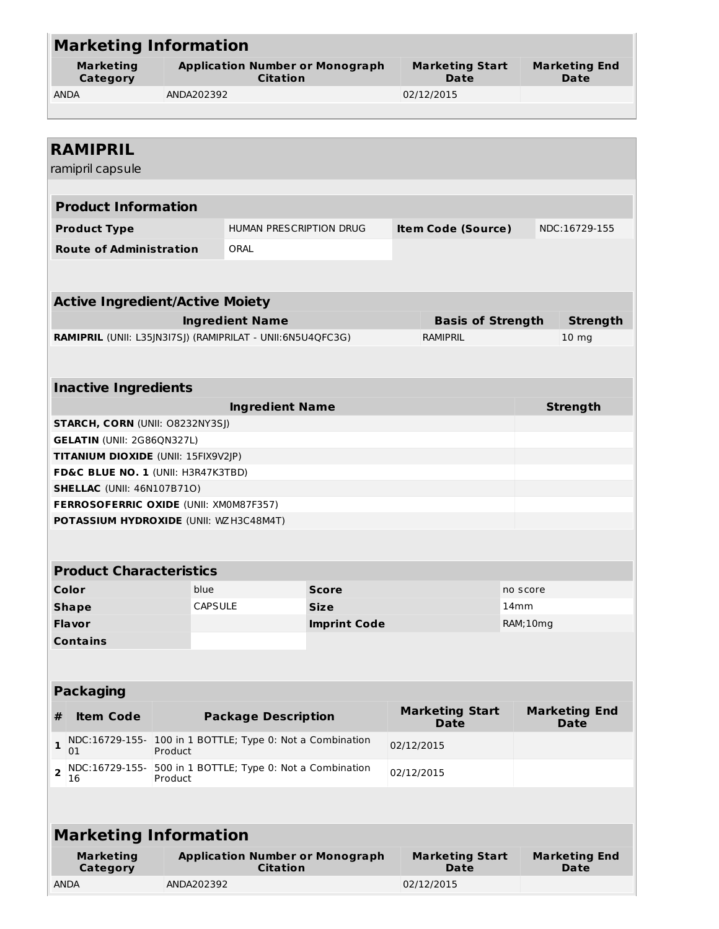| <b>Marketing Information</b>                               |                                                                                             |                                                           |                     |  |                                       |                  |                              |
|------------------------------------------------------------|---------------------------------------------------------------------------------------------|-----------------------------------------------------------|---------------------|--|---------------------------------------|------------------|------------------------------|
| <b>Marketing</b><br>Category                               | <b>Application Number or Monograph</b><br><b>Marketing Start</b><br><b>Citation</b><br>Date |                                                           |                     |  | <b>Marketing End</b><br>Date          |                  |                              |
| <b>ANDA</b>                                                | ANDA202392                                                                                  |                                                           |                     |  | 02/12/2015                            |                  |                              |
|                                                            |                                                                                             |                                                           |                     |  |                                       |                  |                              |
|                                                            |                                                                                             |                                                           |                     |  |                                       |                  |                              |
| <b>RAMIPRIL</b>                                            |                                                                                             |                                                           |                     |  |                                       |                  |                              |
| ramipril capsule                                           |                                                                                             |                                                           |                     |  |                                       |                  |                              |
|                                                            |                                                                                             |                                                           |                     |  |                                       |                  |                              |
| <b>Product Information</b>                                 |                                                                                             |                                                           |                     |  |                                       |                  |                              |
| <b>Product Type</b>                                        |                                                                                             | HUMAN PRESCRIPTION DRUG                                   |                     |  | <b>Item Code (Source)</b>             |                  | NDC:16729-155                |
| <b>Route of Administration</b>                             |                                                                                             | ORAL                                                      |                     |  |                                       |                  |                              |
|                                                            |                                                                                             |                                                           |                     |  |                                       |                  |                              |
|                                                            |                                                                                             |                                                           |                     |  |                                       |                  |                              |
| <b>Active Ingredient/Active Moiety</b>                     |                                                                                             |                                                           |                     |  |                                       |                  |                              |
|                                                            |                                                                                             | <b>Ingredient Name</b>                                    |                     |  | <b>Basis of Strength</b>              |                  | <b>Strength</b>              |
| RAMIPRIL (UNII: L35JN3I7SJ) (RAMIPRILAT - UNII:6N5U4QFC3G) |                                                                                             |                                                           |                     |  | <b>RAMIPRIL</b>                       |                  | 10 <sub>mg</sub>             |
|                                                            |                                                                                             |                                                           |                     |  |                                       |                  |                              |
|                                                            |                                                                                             |                                                           |                     |  |                                       |                  |                              |
| <b>Inactive Ingredients</b>                                |                                                                                             |                                                           |                     |  |                                       |                  |                              |
|                                                            |                                                                                             | <b>Ingredient Name</b>                                    |                     |  |                                       |                  | <b>Strength</b>              |
| <b>STARCH, CORN (UNII: O8232NY3SJ)</b>                     |                                                                                             |                                                           |                     |  |                                       |                  |                              |
| <b>GELATIN (UNII: 2G86QN327L)</b>                          |                                                                                             |                                                           |                     |  |                                       |                  |                              |
| TITANIUM DIOXIDE (UNII: 15FIX9V2JP)                        |                                                                                             |                                                           |                     |  |                                       |                  |                              |
| FD&C BLUE NO. 1 (UNII: H3R47K3TBD)                         |                                                                                             |                                                           |                     |  |                                       |                  |                              |
| <b>SHELLAC (UNII: 46N107B710)</b>                          |                                                                                             |                                                           |                     |  |                                       |                  |                              |
| <b>FERROSOFERRIC OXIDE (UNII: XM0M87F357)</b>              |                                                                                             |                                                           |                     |  |                                       |                  |                              |
| <b>POTASSIUM HYDROXIDE (UNII: WZH3C48M4T)</b>              |                                                                                             |                                                           |                     |  |                                       |                  |                              |
|                                                            |                                                                                             |                                                           |                     |  |                                       |                  |                              |
| <b>Product Characteristics</b>                             |                                                                                             |                                                           |                     |  |                                       |                  |                              |
| Color                                                      | blue                                                                                        |                                                           | <b>Score</b>        |  |                                       | no score         |                              |
| <b>Shape</b>                                               | <b>CAPSULE</b>                                                                              |                                                           | <b>Size</b>         |  |                                       | 14 <sub>mm</sub> |                              |
| <b>Flavor</b>                                              |                                                                                             |                                                           | <b>Imprint Code</b> |  |                                       | RAM;10mg         |                              |
| <b>Contains</b>                                            |                                                                                             |                                                           |                     |  |                                       |                  |                              |
|                                                            |                                                                                             |                                                           |                     |  |                                       |                  |                              |
|                                                            |                                                                                             |                                                           |                     |  |                                       |                  |                              |
| <b>Packaging</b>                                           |                                                                                             |                                                           |                     |  |                                       |                  |                              |
| <b>Item Code</b><br>#                                      |                                                                                             | <b>Package Description</b>                                |                     |  | <b>Marketing Start</b><br><b>Date</b> |                  | <b>Marketing End</b><br>Date |
| 1<br>01                                                    | Product                                                                                     | NDC:16729-155- 100 in 1 BOTTLE; Type 0: Not a Combination |                     |  | 02/12/2015                            |                  |                              |
| NDC:16729-155-<br>$\overline{2}$<br>16                     | Product                                                                                     | 500 in 1 BOTTLE; Type 0: Not a Combination                |                     |  | 02/12/2015                            |                  |                              |
|                                                            |                                                                                             |                                                           |                     |  |                                       |                  |                              |
| <b>Marketing Information</b>                               |                                                                                             |                                                           |                     |  |                                       |                  |                              |
| <b>Marketing</b><br>Category                               |                                                                                             | <b>Application Number or Monograph</b><br><b>Citation</b> |                     |  | <b>Marketing Start</b><br><b>Date</b> |                  | <b>Marketing End</b><br>Date |
| <b>ANDA</b>                                                | ANDA202392                                                                                  |                                                           |                     |  | 02/12/2015                            |                  |                              |